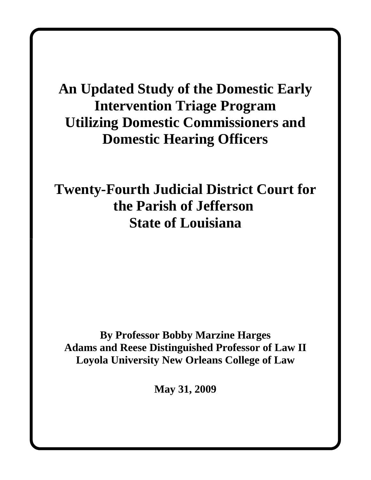# **An Updated Study of the Domestic Early Intervention Triage Program Utilizing Domestic Commissioners and Domestic Hearing Officers**

**Twenty-Fourth Judicial District Court for the Parish of Jefferson State of Louisiana**

**By Professor Bobby Marzine Harges Adams and Reese Distinguished Professor of Law II Loyola University New Orleans College of Law**

**May 31, 2009**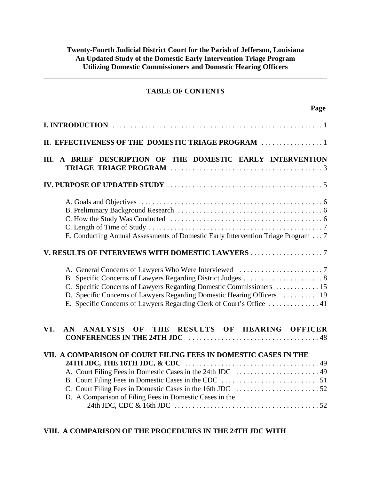# **TABLE OF CONTENTS**

**Page**

\_\_\_\_\_\_\_\_\_\_\_\_\_\_\_\_\_\_\_\_\_\_\_\_\_\_\_\_\_\_\_\_\_\_\_\_\_\_\_\_\_\_\_\_\_\_\_\_\_\_\_\_\_\_\_\_\_\_\_\_\_\_\_\_\_\_\_\_\_\_\_\_\_\_\_\_\_\_

| III. A BRIEF DESCRIPTION OF THE DOMESTIC EARLY INTERVENTION                                                                                                                                                              |
|--------------------------------------------------------------------------------------------------------------------------------------------------------------------------------------------------------------------------|
|                                                                                                                                                                                                                          |
| E. Conducting Annual Assessments of Domestic Early Intervention Triage Program 7                                                                                                                                         |
| V. RESULTS OF INTERVIEWS WITH DOMESTIC LAWYERS 7                                                                                                                                                                         |
| C. Specific Concerns of Lawyers Regarding Domestic Commissioners  15<br>D. Specific Concerns of Lawyers Regarding Domestic Hearing Officers  19<br>E. Specific Concerns of Lawyers Regarding Clerk of Court's Office  41 |
| ANALYSIS OF THE RESULTS OF HEARING OFFICER<br>VI.<br>AN                                                                                                                                                                  |
| VII. A COMPARISON OF COURT FILING FEES IN DOMESTIC CASES IN THE<br>D. A Comparison of Filing Fees in Domestic Cases in the                                                                                               |

# **VIII. A COMPARISON OF THE PROCEDURES IN THE 24TH JDC WITH**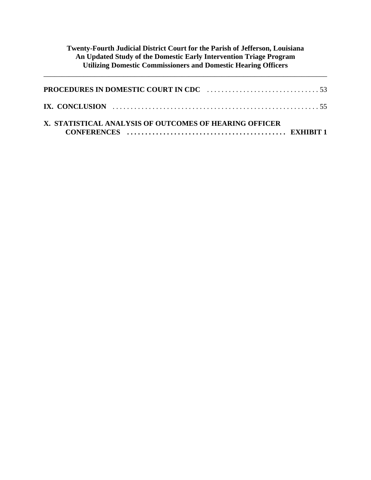\_\_\_\_\_\_\_\_\_\_\_\_\_\_\_\_\_\_\_\_\_\_\_\_\_\_\_\_\_\_\_\_\_\_\_\_\_\_\_\_\_\_\_\_\_\_\_\_\_\_\_\_\_\_\_\_\_\_\_\_\_\_\_\_\_\_\_\_\_\_\_\_\_\_\_\_\_\_

| X. STATISTICAL ANALYSIS OF OUTCOMES OF HEARING OFFICER |  |
|--------------------------------------------------------|--|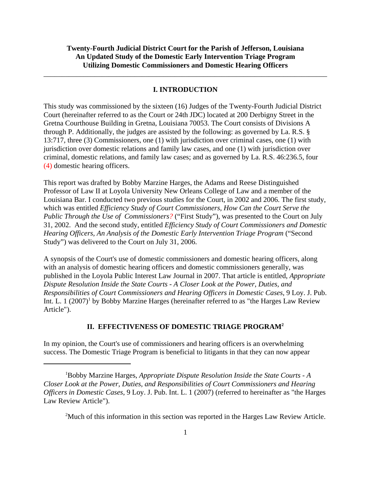#### **I. INTRODUCTION**

\_\_\_\_\_\_\_\_\_\_\_\_\_\_\_\_\_\_\_\_\_\_\_\_\_\_\_\_\_\_\_\_\_\_\_\_\_\_\_\_\_\_\_\_\_\_\_\_\_\_\_\_\_\_\_\_\_\_\_\_\_\_\_\_\_\_\_\_\_\_\_\_\_\_\_\_\_\_

This study was commissioned by the sixteen (16) Judges of the Twenty-Fourth Judicial District Court (hereinafter referred to as the Court or 24th JDC) located at 200 Derbigny Street in the Gretna Courthouse Building in Gretna, Louisiana 70053. The Court consists of Divisions A through P. Additionally, the judges are assisted by the following: as governed by La. R.S. § 13:717, three (3) Commissioners, one (1) with jurisdiction over criminal cases, one (1) with jurisdiction over domestic relations and family law cases, and one (1) with jurisdiction over criminal, domestic relations, and family law cases; and as governed by La. R.S. 46:236.5, four (4) domestic hearing officers.

This report was drafted by Bobby Marzine Harges, the Adams and Reese Distinguished Professor of Law II at Loyola University New Orleans College of Law and a member of the Louisiana Bar. I conducted two previous studies for the Court, in 2002 and 2006. The first study, which was entitled *Efficiency Study of Court Commissioners, How Can the Court Serve the Public Through the Use of Commissioners?* ("First Study"), was presented to the Court on July 31, 2002. And the second study, entitled *Efficiency Study of Court Commissioners and Domestic Hearing Officers, An Analysis of the Domestic Early Intervention Triage Program* ("Second Study") was delivered to the Court on July 31, 2006.

A synopsis of the Court's use of domestic commissioners and domestic hearing officers, along with an analysis of domestic hearing officers and domestic commissioners generally, was published in the Loyola Public Interest Law Journal in 2007. That article is entitled, *Appropriate Dispute Resolution Inside the State Courts - A Closer Look at the Power, Duties, and Responsibilities of Court Commissioners and Hearing Officers in Domestic Cases*, 9 Loy. J. Pub. Int. L.  $1 (2007)^1$  by Bobby Marzine Harges (hereinafter referred to as "the Harges Law Review Article").

#### **II. EFFECTIVENESS OF DOMESTIC TRIAGE PROGRAM2**

In my opinion, the Court's use of commissioners and hearing officers is an overwhelming success. The Domestic Triage Program is beneficial to litigants in that they can now appear

<sup>2</sup>Much of this information in this section was reported in the Harges Law Review Article.

<sup>1</sup> Bobby Marzine Harges, *Appropriate Dispute Resolution Inside the State Courts - A Closer Look at the Power, Duties, and Responsibilities of Court Commissioners and Hearing Officers in Domestic Cases*, 9 Loy. J. Pub. Int. L. 1 (2007) (referred to hereinafter as "the Harges Law Review Article").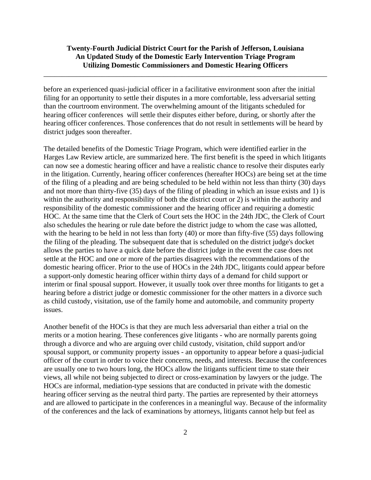\_\_\_\_\_\_\_\_\_\_\_\_\_\_\_\_\_\_\_\_\_\_\_\_\_\_\_\_\_\_\_\_\_\_\_\_\_\_\_\_\_\_\_\_\_\_\_\_\_\_\_\_\_\_\_\_\_\_\_\_\_\_\_\_\_\_\_\_\_\_\_\_\_\_\_\_\_\_

before an experienced quasi-judicial officer in a facilitative environment soon after the initial filing for an opportunity to settle their disputes in a more comfortable, less adversarial setting than the courtroom environment. The overwhelming amount of the litigants scheduled for hearing officer conferences will settle their disputes either before, during, or shortly after the hearing officer conferences. Those conferences that do not result in settlements will be heard by district judges soon thereafter.

The detailed benefits of the Domestic Triage Program, which were identified earlier in the Harges Law Review article, are summarized here. The first benefit is the speed in which litigants can now see a domestic hearing officer and have a realistic chance to resolve their disputes early in the litigation. Currently, hearing officer conferences (hereafter HOCs) are being set at the time of the filing of a pleading and are being scheduled to be held within not less than thirty (30) days and not more than thirty-five (35) days of the filing of pleading in which an issue exists and 1) is within the authority and responsibility of both the district court or 2) is within the authority and responsibility of the domestic commissioner and the hearing officer and requiring a domestic HOC. At the same time that the Clerk of Court sets the HOC in the 24th JDC, the Clerk of Court also schedules the hearing or rule date before the district judge to whom the case was allotted, with the hearing to be held in not less than forty (40) or more than fifty-five (55) days following the filing of the pleading. The subsequent date that is scheduled on the district judge's docket allows the parties to have a quick date before the district judge in the event the case does not settle at the HOC and one or more of the parties disagrees with the recommendations of the domestic hearing officer. Prior to the use of HOCs in the 24th JDC, litigants could appear before a support-only domestic hearing officer within thirty days of a demand for child support or interim or final spousal support. However, it usually took over three months for litigants to get a hearing before a district judge or domestic commissioner for the other matters in a divorce such as child custody, visitation, use of the family home and automobile, and community property issues.

Another benefit of the HOCs is that they are much less adversarial than either a trial on the merits or a motion hearing. These conferences give litigants - who are normally parents going through a divorce and who are arguing over child custody, visitation, child support and/or spousal support, or community property issues - an opportunity to appear before a quasi-judicial officer of the court in order to voice their concerns, needs, and interests. Because the conferences are usually one to two hours long, the HOCs allow the litigants sufficient time to state their views, all while not being subjected to direct or cross-examination by lawyers or the judge. The HOCs are informal, mediation-type sessions that are conducted in private with the domestic hearing officer serving as the neutral third party. The parties are represented by their attorneys and are allowed to participate in the conferences in a meaningful way. Because of the informality of the conferences and the lack of examinations by attorneys, litigants cannot help but feel as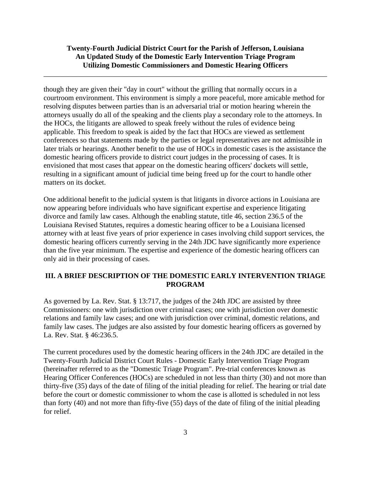\_\_\_\_\_\_\_\_\_\_\_\_\_\_\_\_\_\_\_\_\_\_\_\_\_\_\_\_\_\_\_\_\_\_\_\_\_\_\_\_\_\_\_\_\_\_\_\_\_\_\_\_\_\_\_\_\_\_\_\_\_\_\_\_\_\_\_\_\_\_\_\_\_\_\_\_\_\_

though they are given their "day in court" without the grilling that normally occurs in a courtroom environment. This environment is simply a more peaceful, more amicable method for resolving disputes between parties than is an adversarial trial or motion hearing wherein the attorneys usually do all of the speaking and the clients play a secondary role to the attorneys. In the HOCs, the litigants are allowed to speak freely without the rules of evidence being applicable. This freedom to speak is aided by the fact that HOCs are viewed as settlement conferences so that statements made by the parties or legal representatives are not admissible in later trials or hearings. Another benefit to the use of HOCs in domestic cases is the assistance the domestic hearing officers provide to district court judges in the processing of cases. It is envisioned that most cases that appear on the domestic hearing officers' dockets will settle, resulting in a significant amount of judicial time being freed up for the court to handle other matters on its docket.

One additional benefit to the judicial system is that litigants in divorce actions in Louisiana are now appearing before individuals who have significant expertise and experience litigating divorce and family law cases. Although the enabling statute, title 46, section 236.5 of the Louisiana Revised Statutes, requires a domestic hearing officer to be a Louisiana licensed attorney with at least five years of prior experience in cases involving child support services, the domestic hearing officers currently serving in the 24th JDC have significantly more experience than the five year minimum. The expertise and experience of the domestic hearing officers can only aid in their processing of cases.

#### **III. A BRIEF DESCRIPTION OF THE DOMESTIC EARLY INTERVENTION TRIAGE PROGRAM**

As governed by La. Rev. Stat. § 13:717, the judges of the 24th JDC are assisted by three Commissioners: one with jurisdiction over criminal cases; one with jurisdiction over domestic relations and family law cases; and one with jurisdiction over criminal, domestic relations, and family law cases. The judges are also assisted by four domestic hearing officers as governed by La. Rev. Stat. § 46:236.5.

The current procedures used by the domestic hearing officers in the 24th JDC are detailed in the Twenty-Fourth Judicial District Court Rules - Domestic Early Intervention Triage Program (hereinafter referred to as the "Domestic Triage Program". Pre-trial conferences known as Hearing Officer Conferences (HOCs) are scheduled in not less than thirty (30) and not more than thirty-five (35) days of the date of filing of the initial pleading for relief. The hearing or trial date before the court or domestic commissioner to whom the case is allotted is scheduled in not less than forty (40) and not more than fifty-five (55) days of the date of filing of the initial pleading for relief.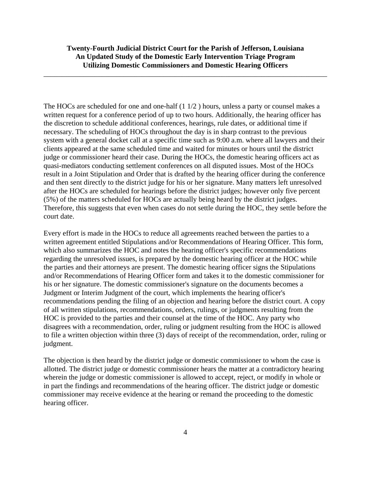\_\_\_\_\_\_\_\_\_\_\_\_\_\_\_\_\_\_\_\_\_\_\_\_\_\_\_\_\_\_\_\_\_\_\_\_\_\_\_\_\_\_\_\_\_\_\_\_\_\_\_\_\_\_\_\_\_\_\_\_\_\_\_\_\_\_\_\_\_\_\_\_\_\_\_\_\_\_

The HOCs are scheduled for one and one-half (1 1/2 ) hours, unless a party or counsel makes a written request for a conference period of up to two hours. Additionally, the hearing officer has the discretion to schedule additional conferences, hearings, rule dates, or additional time if necessary. The scheduling of HOCs throughout the day is in sharp contrast to the previous system with a general docket call at a specific time such as 9:00 a.m. where all lawyers and their clients appeared at the same scheduled time and waited for minutes or hours until the district judge or commissioner heard their case. During the HOCs, the domestic hearing officers act as quasi-mediators conducting settlement conferences on all disputed issues. Most of the HOCs result in a Joint Stipulation and Order that is drafted by the hearing officer during the conference and then sent directly to the district judge for his or her signature. Many matters left unresolved after the HOCs are scheduled for hearings before the district judges; however only five percent (5%) of the matters scheduled for HOCs are actually being heard by the district judges. Therefore, this suggests that even when cases do not settle during the HOC, they settle before the court date.

Every effort is made in the HOCs to reduce all agreements reached between the parties to a written agreement entitled Stipulations and/or Recommendations of Hearing Officer. This form, which also summarizes the HOC and notes the hearing officer's specific recommendations regarding the unresolved issues, is prepared by the domestic hearing officer at the HOC while the parties and their attorneys are present. The domestic hearing officer signs the Stipulations and/or Recommendations of Hearing Officer form and takes it to the domestic commissioner for his or her signature. The domestic commissioner's signature on the documents becomes a Judgment or Interim Judgment of the court, which implements the hearing officer's recommendations pending the filing of an objection and hearing before the district court. A copy of all written stipulations, recommendations, orders, rulings, or judgments resulting from the HOC is provided to the parties and their counsel at the time of the HOC. Any party who disagrees with a recommendation, order, ruling or judgment resulting from the HOC is allowed to file a written objection within three (3) days of receipt of the recommendation, order, ruling or judgment.

The objection is then heard by the district judge or domestic commissioner to whom the case is allotted. The district judge or domestic commissioner hears the matter at a contradictory hearing wherein the judge or domestic commissioner is allowed to accept, reject, or modify in whole or in part the findings and recommendations of the hearing officer. The district judge or domestic commissioner may receive evidence at the hearing or remand the proceeding to the domestic hearing officer.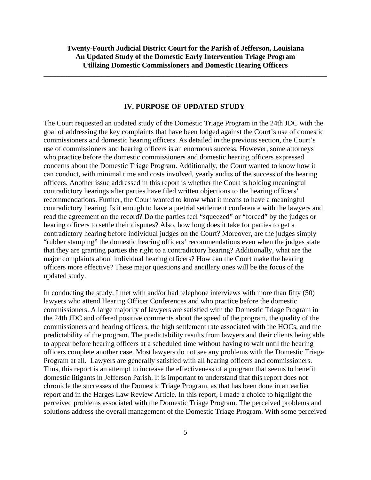\_\_\_\_\_\_\_\_\_\_\_\_\_\_\_\_\_\_\_\_\_\_\_\_\_\_\_\_\_\_\_\_\_\_\_\_\_\_\_\_\_\_\_\_\_\_\_\_\_\_\_\_\_\_\_\_\_\_\_\_\_\_\_\_\_\_\_\_\_\_\_\_\_\_\_\_\_\_

#### **IV. PURPOSE OF UPDATED STUDY**

The Court requested an updated study of the Domestic Triage Program in the 24th JDC with the goal of addressing the key complaints that have been lodged against the Court's use of domestic commissioners and domestic hearing officers. As detailed in the previous section, the Court's use of commissioners and hearing officers is an enormous success. However, some attorneys who practice before the domestic commissioners and domestic hearing officers expressed concerns about the Domestic Triage Program. Additionally, the Court wanted to know how it can conduct, with minimal time and costs involved, yearly audits of the success of the hearing officers. Another issue addressed in this report is whether the Court is holding meaningful contradictory hearings after parties have filed written objections to the hearing officers' recommendations. Further, the Court wanted to know what it means to have a meaningful contradictory hearing. Is it enough to have a pretrial settlement conference with the lawyers and read the agreement on the record? Do the parties feel "squeezed" or "forced" by the judges or hearing officers to settle their disputes? Also, how long does it take for parties to get a contradictory hearing before individual judges on the Court? Moreover, are the judges simply "rubber stamping" the domestic hearing officers' recommendations even when the judges state that they are granting parties the right to a contradictory hearing? Additionally, what are the major complaints about individual hearing officers? How can the Court make the hearing officers more effective? These major questions and ancillary ones will be the focus of the updated study.

In conducting the study, I met with and/or had telephone interviews with more than fifty (50) lawyers who attend Hearing Officer Conferences and who practice before the domestic commissioners. A large majority of lawyers are satisfied with the Domestic Triage Program in the 24th JDC and offered positive comments about the speed of the program, the quality of the commissioners and hearing officers, the high settlement rate associated with the HOCs, and the predictability of the program. The predictability results from lawyers and their clients being able to appear before hearing officers at a scheduled time without having to wait until the hearing officers complete another case. Most lawyers do not see any problems with the Domestic Triage Program at all. Lawyers are generally satisfied with all hearing officers and commissioners. Thus, this report is an attempt to increase the effectiveness of a program that seems to benefit domestic litigants in Jefferson Parish. It is important to understand that this report does not chronicle the successes of the Domestic Triage Program, as that has been done in an earlier report and in the Harges Law Review Article. In this report, I made a choice to highlight the perceived problems associated with the Domestic Triage Program. The perceived problems and solutions address the overall management of the Domestic Triage Program. With some perceived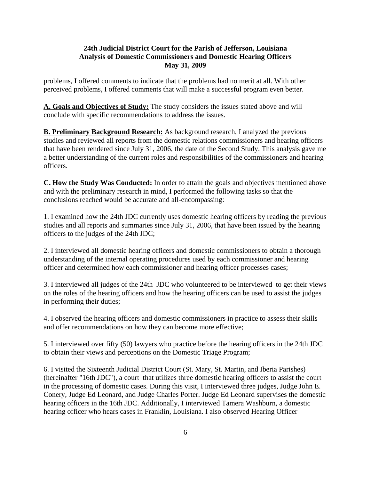problems, I offered comments to indicate that the problems had no merit at all. With other perceived problems, I offered comments that will make a successful program even better.

**A. Goals and Objectives of Study:** The study considers the issues stated above and will conclude with specific recommendations to address the issues.

**B. Preliminary Background Research:** As background research, I analyzed the previous studies and reviewed all reports from the domestic relations commissioners and hearing officers that have been rendered since July 31, 2006, the date of the Second Study. This analysis gave me a better understanding of the current roles and responsibilities of the commissioners and hearing officers.

**C. How the Study Was Conducted:** In order to attain the goals and objectives mentioned above and with the preliminary research in mind, I performed the following tasks so that the conclusions reached would be accurate and all-encompassing:

1. I examined how the 24th JDC currently uses domestic hearing officers by reading the previous studies and all reports and summaries since July 31, 2006, that have been issued by the hearing officers to the judges of the 24th JDC;

2. I interviewed all domestic hearing officers and domestic commissioners to obtain a thorough understanding of the internal operating procedures used by each commissioner and hearing officer and determined how each commissioner and hearing officer processes cases;

3. I interviewed all judges of the 24th JDC who volunteered to be interviewed to get their views on the roles of the hearing officers and how the hearing officers can be used to assist the judges in performing their duties;

4. I observed the hearing officers and domestic commissioners in practice to assess their skills and offer recommendations on how they can become more effective;

5. I interviewed over fifty (50) lawyers who practice before the hearing officers in the 24th JDC to obtain their views and perceptions on the Domestic Triage Program;

6. I visited the Sixteenth Judicial District Court (St. Mary, St. Martin, and Iberia Parishes) (hereinafter "16th JDC"), a court that utilizes three domestic hearing officers to assist the court in the processing of domestic cases. During this visit, I interviewed three judges, Judge John E. Conery, Judge Ed Leonard, and Judge Charles Porter. Judge Ed Leonard supervises the domestic hearing officers in the 16th JDC. Additionally, I interviewed Tamera Washburn, a domestic hearing officer who hears cases in Franklin, Louisiana. I also observed Hearing Officer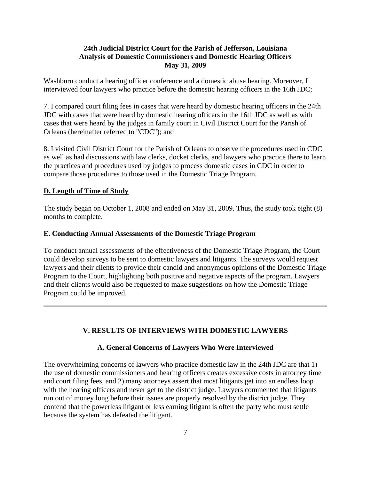Washburn conduct a hearing officer conference and a domestic abuse hearing. Moreover, I interviewed four lawyers who practice before the domestic hearing officers in the 16th JDC;

7. I compared court filing fees in cases that were heard by domestic hearing officers in the 24th JDC with cases that were heard by domestic hearing officers in the 16th JDC as well as with cases that were heard by the judges in family court in Civil District Court for the Parish of Orleans (hereinafter referred to "CDC"); and

8. I visited Civil District Court for the Parish of Orleans to observe the procedures used in CDC as well as had discussions with law clerks, docket clerks, and lawyers who practice there to learn the practices and procedures used by judges to process domestic cases in CDC in order to compare those procedures to those used in the Domestic Triage Program.

#### **D. Length of Time of Study**

The study began on October 1, 2008 and ended on May 31, 2009. Thus, the study took eight (8) months to complete.

#### **E. Conducting Annual Assessments of the Domestic Triage Program**

To conduct annual assessments of the effectiveness of the Domestic Triage Program, the Court could develop surveys to be sent to domestic lawyers and litigants. The surveys would request lawyers and their clients to provide their candid and anonymous opinions of the Domestic Triage Program to the Court, highlighting both positive and negative aspects of the program. Lawyers and their clients would also be requested to make suggestions on how the Domestic Triage Program could be improved.

# **V. RESULTS OF INTERVIEWS WITH DOMESTIC LAWYERS**

#### **A. General Concerns of Lawyers Who Were Interviewed**

The overwhelming concerns of lawyers who practice domestic law in the 24th JDC are that 1) the use of domestic commissioners and hearing officers creates excessive costs in attorney time and court filing fees, and 2) many attorneys assert that most litigants get into an endless loop with the hearing officers and never get to the district judge. Lawyers commented that litigants run out of money long before their issues are properly resolved by the district judge. They contend that the powerless litigant or less earning litigant is often the party who must settle because the system has defeated the litigant.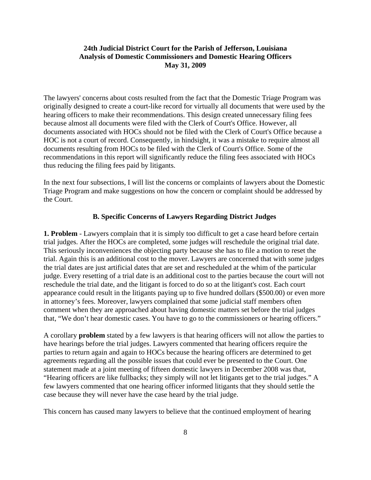The lawyers' concerns about costs resulted from the fact that the Domestic Triage Program was originally designed to create a court-like record for virtually all documents that were used by the hearing officers to make their recommendations. This design created unnecessary filing fees because almost all documents were filed with the Clerk of Court's Office. However, all documents associated with HOCs should not be filed with the Clerk of Court's Office because a HOC is not a court of record. Consequently, in hindsight, it was a mistake to require almost all documents resulting from HOCs to be filed with the Clerk of Court's Office. Some of the recommendations in this report will significantly reduce the filing fees associated with HOCs thus reducing the filing fees paid by litigants.

In the next four subsections, I will list the concerns or complaints of lawyers about the Domestic Triage Program and make suggestions on how the concern or complaint should be addressed by the Court.

#### **B. Specific Concerns of Lawyers Regarding District Judges**

**1. Problem** - Lawyers complain that it is simply too difficult to get a case heard before certain trial judges. After the HOCs are completed, some judges will reschedule the original trial date. This seriously inconveniences the objecting party because she has to file a motion to reset the trial. Again this is an additional cost to the mover. Lawyers are concerned that with some judges the trial dates are just artificial dates that are set and rescheduled at the whim of the particular judge. Every resetting of a trial date is an additional cost to the parties because the court will not reschedule the trial date, and the litigant is forced to do so at the litigant's cost. Each court appearance could result in the litigants paying up to five hundred dollars (\$500.00) or even more in attorney's fees. Moreover, lawyers complained that some judicial staff members often comment when they are approached about having domestic matters set before the trial judges that, "We don't hear domestic cases. You have to go to the commissioners or hearing officers."

A corollary **problem** stated by a few lawyers is that hearing officers will not allow the parties to have hearings before the trial judges. Lawyers commented that hearing officers require the parties to return again and again to HOCs because the hearing officers are determined to get agreements regarding all the possible issues that could ever be presented to the Court. One statement made at a joint meeting of fifteen domestic lawyers in December 2008 was that, "Hearing officers are like fullbacks; they simply will not let litigants get to the trial judges." A few lawyers commented that one hearing officer informed litigants that they should settle the case because they will never have the case heard by the trial judge.

This concern has caused many lawyers to believe that the continued employment of hearing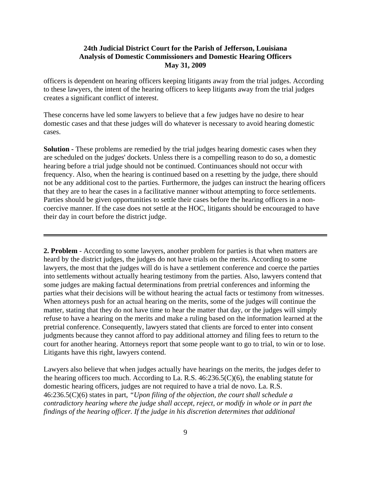officers is dependent on hearing officers keeping litigants away from the trial judges. According to these lawyers, the intent of the hearing officers to keep litigants away from the trial judges creates a significant conflict of interest.

These concerns have led some lawyers to believe that a few judges have no desire to hear domestic cases and that these judges will do whatever is necessary to avoid hearing domestic cases.

**Solution -** These problems are remedied by the trial judges hearing domestic cases when they are scheduled on the judges' dockets. Unless there is a compelling reason to do so, a domestic hearing before a trial judge should not be continued. Continuances should not occur with frequency. Also, when the hearing is continued based on a resetting by the judge, there should not be any additional cost to the parties. Furthermore, the judges can instruct the hearing officers that they are to hear the cases in a facilitative manner without attempting to force settlements. Parties should be given opportunities to settle their cases before the hearing officers in a noncoercive manner. If the case does not settle at the HOC, litigants should be encouraged to have their day in court before the district judge.

**2. Problem** - According to some lawyers, another problem for parties is that when matters are heard by the district judges, the judges do not have trials on the merits. According to some lawyers, the most that the judges will do is have a settlement conference and coerce the parties into settlements without actually hearing testimony from the parties. Also, lawyers contend that some judges are making factual determinations from pretrial conferences and informing the parties what their decisions will be without hearing the actual facts or testimony from witnesses. When attorneys push for an actual hearing on the merits, some of the judges will continue the matter, stating that they do not have time to hear the matter that day, or the judges will simply refuse to have a hearing on the merits and make a ruling based on the information learned at the pretrial conference. Consequently, lawyers stated that clients are forced to enter into consent judgments because they cannot afford to pay additional attorney and filing fees to return to the court for another hearing. Attorneys report that some people want to go to trial, to win or to lose. Litigants have this right, lawyers contend.

Lawyers also believe that when judges actually have hearings on the merits, the judges defer to the hearing officers too much. According to La. R.S. 46:236.5(C)(6), the enabling statute for domestic hearing officers, judges are not required to have a trial de novo. La. R.S. 46:236.5(C)(6) states in part, *"Upon filing of the objection, the court shall schedule a contradictory hearing where the judge shall accept, reject, or modify in whole or in part the findings of the hearing officer. If the judge in his discretion determines that additional*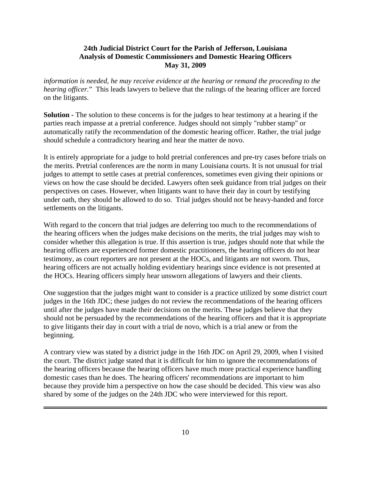*information is needed, he may receive evidence at the hearing or remand the proceeding to the hearing officer.*" This leads lawyers to believe that the rulings of the hearing officer are forced on the litigants.

**Solution -** The solution to these concerns is for the judges to hear testimony at a hearing if the parties reach impasse at a pretrial conference. Judges should not simply "rubber stamp" or automatically ratify the recommendation of the domestic hearing officer. Rather, the trial judge should schedule a contradictory hearing and hear the matter de novo.

It is entirely appropriate for a judge to hold pretrial conferences and pre-try cases before trials on the merits. Pretrial conferences are the norm in many Louisiana courts. It is not unusual for trial judges to attempt to settle cases at pretrial conferences, sometimes even giving their opinions or views on how the case should be decided. Lawyers often seek guidance from trial judges on their perspectives on cases. However, when litigants want to have their day in court by testifying under oath, they should be allowed to do so. Trial judges should not be heavy-handed and force settlements on the litigants.

With regard to the concern that trial judges are deferring too much to the recommendations of the hearing officers when the judges make decisions on the merits, the trial judges may wish to consider whether this allegation is true. If this assertion is true, judges should note that while the hearing officers are experienced former domestic practitioners, the hearing officers do not hear testimony, as court reporters are not present at the HOCs, and litigants are not sworn. Thus, hearing officers are not actually holding evidentiary hearings since evidence is not presented at the HOCs. Hearing officers simply hear unsworn allegations of lawyers and their clients.

One suggestion that the judges might want to consider is a practice utilized by some district court judges in the 16th JDC; these judges do not review the recommendations of the hearing officers until after the judges have made their decisions on the merits. These judges believe that they should not be persuaded by the recommendations of the hearing officers and that it is appropriate to give litigants their day in court with a trial de novo, which is a trial anew or from the beginning.

A contrary view was stated by a district judge in the 16th JDC on April 29, 2009, when I visited the court. The district judge stated that it is difficult for him to ignore the recommendations of the hearing officers because the hearing officers have much more practical experience handling domestic cases than he does. The hearing officers' recommendations are important to him because they provide him a perspective on how the case should be decided. This view was also shared by some of the judges on the 24th JDC who were interviewed for this report.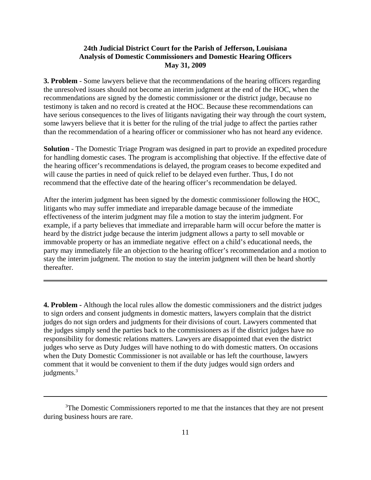**3. Problem** - Some lawyers believe that the recommendations of the hearing officers regarding the unresolved issues should not become an interim judgment at the end of the HOC, when the recommendations are signed by the domestic commissioner or the district judge, because no testimony is taken and no record is created at the HOC. Because these recommendations can have serious consequences to the lives of litigants navigating their way through the court system, some lawyers believe that it is better for the ruling of the trial judge to affect the parties rather than the recommendation of a hearing officer or commissioner who has not heard any evidence.

**Solution** - The Domestic Triage Program was designed in part to provide an expedited procedure for handling domestic cases. The program is accomplishing that objective. If the effective date of the hearing officer's recommendations is delayed, the program ceases to become expedited and will cause the parties in need of quick relief to be delayed even further. Thus, I do not recommend that the effective date of the hearing officer's recommendation be delayed.

After the interim judgment has been signed by the domestic commissioner following the HOC, litigants who may suffer immediate and irreparable damage because of the immediate effectiveness of the interim judgment may file a motion to stay the interim judgment. For example, if a party believes that immediate and irreparable harm will occur before the matter is heard by the district judge because the interim judgment allows a party to sell movable or immovable property or has an immediate negative effect on a child's educational needs, the party may immediately file an objection to the hearing officer's recommendation and a motion to stay the interim judgment. The motion to stay the interim judgment will then be heard shortly thereafter.

**4. Problem -** Although the local rules allow the domestic commissioners and the district judges to sign orders and consent judgments in domestic matters, lawyers complain that the district judges do not sign orders and judgments for their divisions of court. Lawyers commented that the judges simply send the parties back to the commissioners as if the district judges have no responsibility for domestic relations matters. Lawyers are disappointed that even the district judges who serve as Duty Judges will have nothing to do with domestic matters. On occasions when the Duty Domestic Commissioner is not available or has left the courthouse, lawyers comment that it would be convenient to them if the duty judges would sign orders and judgments.<sup>3</sup>

<sup>&</sup>lt;sup>3</sup>The Domestic Commissioners reported to me that the instances that they are not present during business hours are rare.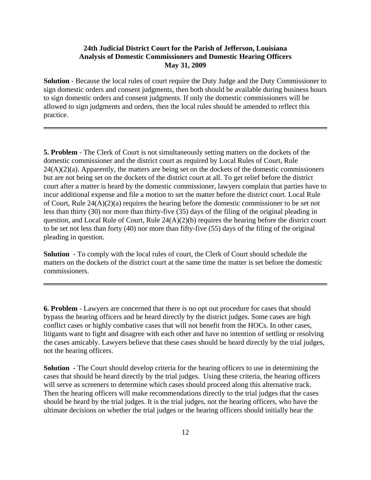**Solution** - Because the local rules of court require the Duty Judge and the Duty Commissioner to sign domestic orders and consent judgments, then both should be available during business hours to sign domestic orders and consent judgments. If only the domestic commissioners will be allowed to sign judgments and orders, then the local rules should be amended to reflect this practice.

**5. Problem** - The Clerk of Court is not simultaneously setting matters on the dockets of the domestic commissioner and the district court as required by Local Rules of Court, Rule  $24(A)(2)(a)$ . Apparently, the matters are being set on the dockets of the domestic commissioners but are not being set on the dockets of the district court at all. To get relief before the district court after a matter is heard by the domestic commissioner, lawyers complain that parties have to incur additional expense and file a motion to set the matter before the district court. Local Rule of Court, Rule 24(A)(2)(a) requires the hearing before the domestic commissioner to be set not less than thirty (30) nor more than thirty-five (35) days of the filing of the original pleading in question, and Local Rule of Court, Rule 24(A)(2)(b) requires the hearing before the district court to be set not less than forty (40) nor more than fifty-five (55) days of the filing of the original pleading in question.

**Solution** - To comply with the local rules of court, the Clerk of Court should schedule the matters on the dockets of the district court at the same time the matter is set before the domestic commissioners.

**6. Problem** - Lawyers are concerned that there is no opt out procedure for cases that should bypass the hearing officers and be heard directly by the district judges. Some cases are high conflict cases or highly combative cases that will not benefit from the HOCs. In other cases, litigants want to fight and disagree with each other and have no intention of settling or resolving the cases amicably. Lawyers believe that these cases should be heard directly by the trial judges, not the hearing officers.

**Solution** - The Court should develop criteria for the hearing officers to use in determining the cases that should be heard directly by the trial judges. Using these criteria, the hearing officers will serve as screeners to determine which cases should proceed along this alternative track. Then the hearing officers will make recommendations directly to the trial judges that the cases should be heard by the trial judges. It is the trial judges, not the hearing officers, who have the ultimate decisions on whether the trial judges or the hearing officers should initially hear the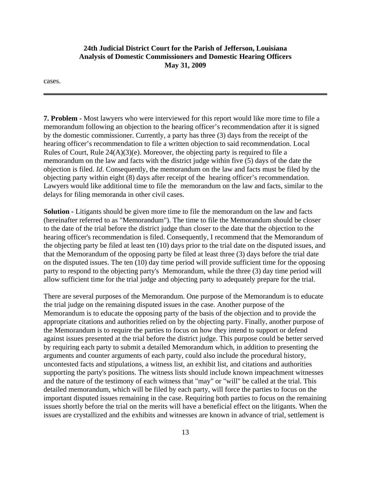cases.

**7. Problem -** Most lawyers who were interviewed for this report would like more time to file a memorandum following an objection to the hearing officer's recommendation after it is signed by the domestic commissioner. Currently, a party has three (3) days from the receipt of the hearing officer's recommendation to file a written objection to said recommendation. Local Rules of Court, Rule  $24(A)(3)(e)$ . Moreover, the objecting party is required to file a memorandum on the law and facts with the district judge within five (5) days of the date the objection is filed. *Id*. Consequently, the memorandum on the law and facts must be filed by the objecting party within eight (8) days after receipt of the hearing officer's recommendation. Lawyers would like additional time to file the memorandum on the law and facts, similar to the delays for filing memoranda in other civil cases.

**Solution -** Litigants should be given more time to file the memorandum on the law and facts (hereinafter referred to as "Memorandum"). The time to file the Memorandum should be closer to the date of the trial before the district judge than closer to the date that the objection to the hearing officer's recommendation is filed. Consequently, I recommend that the Memorandum of the objecting party be filed at least ten (10) days prior to the trial date on the disputed issues, and that the Memorandum of the opposing party be filed at least three (3) days before the trial date on the disputed issues. The ten (10) day time period will provide sufficient time for the opposing party to respond to the objecting party's Memorandum, while the three (3) day time period will allow sufficient time for the trial judge and objecting party to adequately prepare for the trial.

There are several purposes of the Memorandum. One purpose of the Memorandum is to educate the trial judge on the remaining disputed issues in the case. Another purpose of the Memorandum is to educate the opposing party of the basis of the objection and to provide the appropriate citations and authorities relied on by the objecting party. Finally, another purpose of the Memorandum is to require the parties to focus on how they intend to support or defend against issues presented at the trial before the district judge. This purpose could be better served by requiring each party to submit a detailed Memorandum which, in addition to presenting the arguments and counter arguments of each party, could also include the procedural history, uncontested facts and stipulations, a witness list, an exhibit list, and citations and authorities supporting the party's positions. The witness lists should include known impeachment witnesses and the nature of the testimony of each witness that "may" or "will" be called at the trial. This detailed memorandum, which will be filed by each party, will force the parties to focus on the important disputed issues remaining in the case. Requiring both parties to focus on the remaining issues shortly before the trial on the merits will have a beneficial effect on the litigants. When the issues are crystallized and the exhibits and witnesses are known in advance of trial, settlement is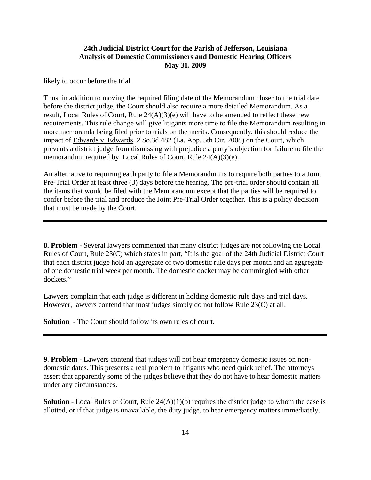likely to occur before the trial.

Thus, in addition to moving the required filing date of the Memorandum closer to the trial date before the district judge, the Court should also require a more detailed Memorandum. As a result, Local Rules of Court, Rule 24(A)(3)(e) will have to be amended to reflect these new requirements. This rule change will give litigants more time to file the Memorandum resulting in more memoranda being filed prior to trials on the merits. Consequently, this should reduce the impact of Edwards v. Edwards, 2 So.3d 482 (La. App. 5th Cir. 2008) on the Court, which prevents a district judge from dismissing with prejudice a party's objection for failure to file the memorandum required by Local Rules of Court, Rule 24(A)(3)(e).

An alternative to requiring each party to file a Memorandum is to require both parties to a Joint Pre-Trial Order at least three (3) days before the hearing. The pre-trial order should contain all the items that would be filed with the Memorandum except that the parties will be required to confer before the trial and produce the Joint Pre-Trial Order together. This is a policy decision that must be made by the Court.

**8. Problem -** Several lawyers commented that many district judges are not following the Local Rules of Court, Rule 23(C) which states in part, "It is the goal of the 24th Judicial District Court that each district judge hold an aggregate of two domestic rule days per month and an aggregate of one domestic trial week per month. The domestic docket may be commingled with other dockets."

Lawyers complain that each judge is different in holding domestic rule days and trial days. However, lawyers contend that most judges simply do not follow Rule 23(C) at all.

**Solution** - The Court should follow its own rules of court.

**9**. **Problem** - Lawyers contend that judges will not hear emergency domestic issues on nondomestic dates. This presents a real problem to litigants who need quick relief. The attorneys assert that apparently some of the judges believe that they do not have to hear domestic matters under any circumstances.

**Solution** - Local Rules of Court, Rule 24(A)(1)(b) requires the district judge to whom the case is allotted, or if that judge is unavailable, the duty judge, to hear emergency matters immediately.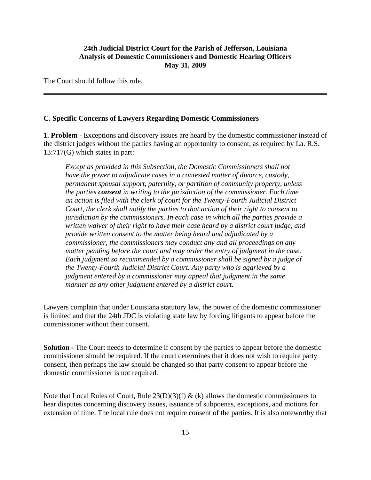The Court should follow this rule.

#### **C. Specific Concerns of Lawyers Regarding Domestic Commissioners**

**1. Problem -** Exceptions and discovery issues are heard by the domestic commissioner instead of the district judges without the parties having an opportunity to consent, as required by La. R.S. 13:717(G) which states in part:

*Except as provided in this Subsection, the Domestic Commissioners shall not have the power to adjudicate cases in a contested matter of divorce, custody, permanent spousal support, paternity, or partition of community property, unless the parties consent in writing to the jurisdiction of the commissioner. Each time an action is filed with the clerk of court for the Twenty-Fourth Judicial District Court, the clerk shall notify the parties to that action of their right to consent to jurisdiction by the commissioners. In each case in which all the parties provide a written waiver of their right to have their case heard by a district court judge, and provide written consent to the matter being heard and adjudicated by a commissioner, the commissioners may conduct any and all proceedings on any matter pending before the court and may order the entry of judgment in the case. Each judgment so recommended by a commissioner shall be signed by a judge of the Twenty-Fourth Judicial District Court. Any party who is aggrieved by a judgment entered by a commissioner may appeal that judgment in the same manner as any other judgment entered by a district court.*

Lawyers complain that under Louisiana statutory law, the power of the domestic commissioner is limited and that the 24th JDC is violating state law by forcing litigants to appear before the commissioner without their consent.

**Solution** - The Court needs to determine if consent by the parties to appear before the domestic commissioner should be required. If the court determines that it does not wish to require party consent, then perhaps the law should be changed so that party consent to appear before the domestic commissioner is not required.

Note that Local Rules of Court, Rule  $23(D)(3)(f)$  & (k) allows the domestic commissioners to hear disputes concerning discovery issues, issuance of subpoenas, exceptions, and motions for extension of time. The local rule does not require consent of the parties. It is also noteworthy that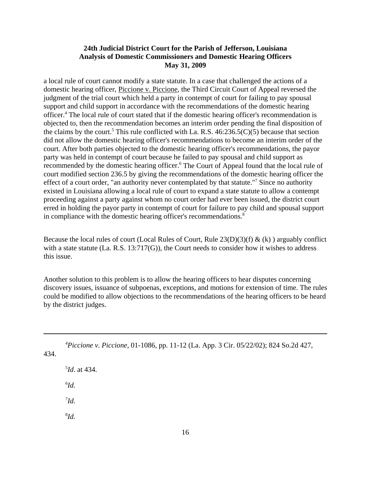a local rule of court cannot modify a state statute. In a case that challenged the actions of a domestic hearing officer, Piccione v. Piccione, the Third Circuit Court of Appeal reversed the judgment of the trial court which held a party in contempt of court for failing to pay spousal support and child support in accordance with the recommendations of the domestic hearing officer.<sup>4</sup> The local rule of court stated that if the domestic hearing officer's recommendation is objected to, then the recommendation becomes an interim order pending the final disposition of the claims by the court.<sup>5</sup> This rule conflicted with La. R.S.  $46:236.5(C)(5)$  because that section did not allow the domestic hearing officer's recommendations to become an interim order of the court. After both parties objected to the domestic hearing officer's recommendations, the payor party was held in contempt of court because he failed to pay spousal and child support as recommended by the domestic hearing officer.<sup>6</sup> The Court of Appeal found that the local rule of court modified section 236.5 by giving the recommendations of the domestic hearing officer the effect of a court order, "an authority never contemplated by that statute."<sup>7</sup> Since no authority existed in Louisiana allowing a local rule of court to expand a state statute to allow a contempt proceeding against a party against whom no court order had ever been issued, the district court erred in holding the payor party in contempt of court for failure to pay child and spousal support in compliance with the domestic hearing officer's recommendations.<sup>8</sup>

Because the local rules of court (Local Rules of Court, Rule  $23(D)(3)(f) \& (k)$ ) arguably conflict with a state statute (La. R.S. 13:717(G)), the Court needs to consider how it wishes to address this issue.

Another solution to this problem is to allow the hearing officers to hear disputes concerning discovery issues, issuance of subpoenas, exceptions, and motions for extension of time. The rules could be modified to allow objections to the recommendations of the hearing officers to be heard by the district judges.

4 *Piccione v. Piccione*, 01-1086, pp. 11-12 (La. App. 3 Cir. 05/22/02); 824 So.2d 427,

434.

5 *Id*. at 434. 6 *Id.* 7 *Id.* 8 *Id.*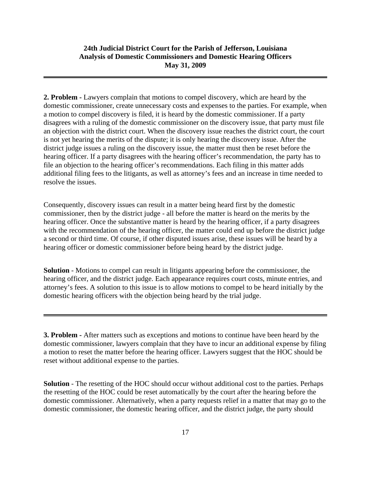**2. Problem -** Lawyers complain that motions to compel discovery, which are heard by the domestic commissioner, create unnecessary costs and expenses to the parties. For example, when a motion to compel discovery is filed, it is heard by the domestic commissioner. If a party disagrees with a ruling of the domestic commissioner on the discovery issue, that party must file an objection with the district court. When the discovery issue reaches the district court, the court is not yet hearing the merits of the dispute; it is only hearing the discovery issue. After the district judge issues a ruling on the discovery issue, the matter must then be reset before the hearing officer. If a party disagrees with the hearing officer's recommendation, the party has to file an objection to the hearing officer's recommendations. Each filing in this matter adds additional filing fees to the litigants, as well as attorney's fees and an increase in time needed to resolve the issues.

Consequently, discovery issues can result in a matter being heard first by the domestic commissioner, then by the district judge - all before the matter is heard on the merits by the hearing officer. Once the substantive matter is heard by the hearing officer, if a party disagrees with the recommendation of the hearing officer, the matter could end up before the district judge a second or third time. Of course, if other disputed issues arise, these issues will be heard by a hearing officer or domestic commissioner before being heard by the district judge.

**Solution** - Motions to compel can result in litigants appearing before the commissioner, the hearing officer, and the district judge. Each appearance requires court costs, minute entries, and attorney's fees. A solution to this issue is to allow motions to compel to be heard initially by the domestic hearing officers with the objection being heard by the trial judge.

**3. Problem -** After matters such as exceptions and motions to continue have been heard by the domestic commissioner, lawyers complain that they have to incur an additional expense by filing a motion to reset the matter before the hearing officer. Lawyers suggest that the HOC should be reset without additional expense to the parties.

**Solution** - The resetting of the HOC should occur without additional cost to the parties. Perhaps the resetting of the HOC could be reset automatically by the court after the hearing before the domestic commissioner. Alternatively, when a party requests relief in a matter that may go to the domestic commissioner, the domestic hearing officer, and the district judge, the party should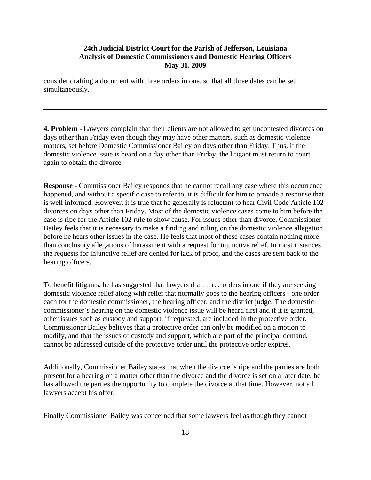consider drafting a document with three orders in one, so that all three dates can be set simultaneously.

**4. Problem -** Lawyers complain that their clients are not allowed to get uncontested divorces on days other than Friday even though they may have other matters, such as domestic violence matters, set before Domestic Commissioner Bailey on days other than Friday. Thus, if the domestic violence issue is heard on a day other than Friday, the litigant must return to court again to obtain the divorce.

**Response -** Commissioner Bailey responds that he cannot recall any case where this occurrence happened, and without a specific case to refer to, it is difficult for him to provide a response that is well informed. However, it is true that he generally is reluctant to hear Civil Code Article 102 divorces on days other than Friday. Most of the domestic violence cases come to him before the case is ripe for the Article 102 rule to show cause. For issues other than divorce, Commissioner Bailey feels that it is necessary to make a finding and ruling on the domestic violence allegation before he hears other issues in the case. He feels that most of these cases contain nothing more than conclusory allegations of harassment with a request for injunctive relief. In most instances the requests for injunctive relief are denied for lack of proof, and the cases are sent back to the hearing officers.

To benefit litigants, he has suggested that lawyers draft three orders in one if they are seeking domestic violence relief along with relief that normally goes to the hearing officers - one order each for the domestic commissioner, the hearing officer, and the district judge. The domestic commissioner's hearing on the domestic violence issue will be heard first and if it is granted, other issues such as custody and support, if requested, are included in the protective order. Commissioner Bailey believes that a protective order can only be modified on a motion to modify, and that the issues of custody and support, which are part of the principal demand, cannot be addressed outside of the protective order until the protective order expires.

Additionally, Commissioner Bailey states that when the divorce is ripe and the parties are both present for a hearing on a matter other than the divorce and the divorce is set on a later date, he has allowed the parties the opportunity to complete the divorce at that time. However, not all lawyers accept his offer.

Finally Commissioner Bailey was concerned that some lawyers feel as though they cannot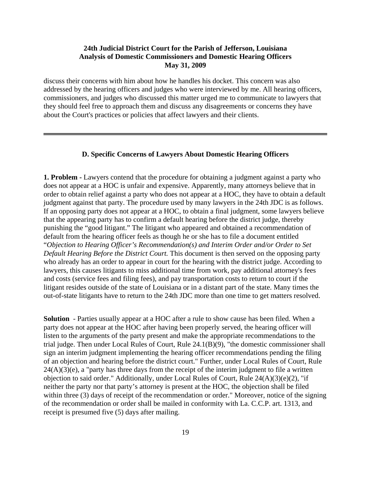discuss their concerns with him about how he handles his docket. This concern was also addressed by the hearing officers and judges who were interviewed by me. All hearing officers, commissioners, and judges who discussed this matter urged me to communicate to lawyers that they should feel free to approach them and discuss any disagreements or concerns they have about the Court's practices or policies that affect lawyers and their clients.

#### **D. Specific Concerns of Lawyers About Domestic Hearing Officers**

**1. Problem -** Lawyers contend that the procedure for obtaining a judgment against a party who does not appear at a HOC is unfair and expensive. Apparently, many attorneys believe that in order to obtain relief against a party who does not appear at a HOC, they have to obtain a default judgment against that party. The procedure used by many lawyers in the 24th JDC is as follows. If an opposing party does not appear at a HOC, to obtain a final judgment, some lawyers believe that the appearing party has to confirm a default hearing before the district judge, thereby punishing the "good litigant." The litigant who appeared and obtained a recommendation of default from the hearing officer feels as though he or she has to file a document entitled "*Objection to Hearing Officer's Recommendation(s) and Interim Order and/or Order to Set Default Hearing Before the District Court.* This document is then served on the opposing party who already has an order to appear in court for the hearing with the district judge. According to lawyers, this causes litigants to miss additional time from work, pay additional attorney's fees and costs (service fees and filing fees), and pay transportation costs to return to court if the litigant resides outside of the state of Louisiana or in a distant part of the state. Many times the out-of-state litigants have to return to the 24th JDC more than one time to get matters resolved.

**Solution** - Parties usually appear at a HOC after a rule to show cause has been filed. When a party does not appear at the HOC after having been properly served, the hearing officer will listen to the arguments of the party present and make the appropriate recommendations to the trial judge. Then under Local Rules of Court, Rule 24.1(B)(9), "the domestic commissioner shall sign an interim judgment implementing the hearing officer recommendations pending the filing of an objection and hearing before the district court." Further, under Local Rules of Court, Rule  $24(A)(3)(e)$ , a "party has three days from the receipt of the interim judgment to file a written objection to said order." Additionally, under Local Rules of Court, Rule 24(A)(3)(e)(2), "if neither the party nor that party's attorney is present at the HOC, the objection shall be filed within three (3) days of receipt of the recommendation or order." Moreover, notice of the signing of the recommendation or order shall be mailed in conformity with La. C.C.P. art. 1313, and receipt is presumed five (5) days after mailing.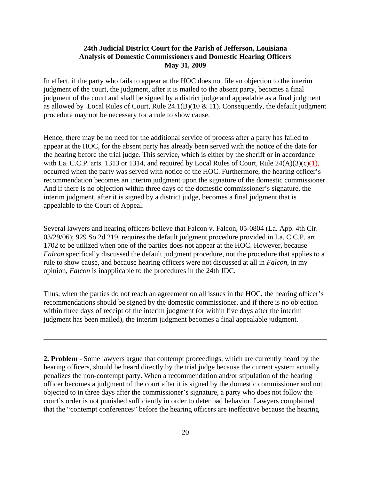In effect, if the party who fails to appear at the HOC does not file an objection to the interim judgment of the court, the judgment, after it is mailed to the absent party, becomes a final judgment of the court and shall be signed by a district judge and appealable as a final judgment as allowed by Local Rules of Court, Rule  $24.1(B)(10 \& 11)$ . Consequently, the default judgment procedure may not be necessary for a rule to show cause.

Hence, there may be no need for the additional service of process after a party has failed to appear at the HOC, for the absent party has already been served with the notice of the date for the hearing before the trial judge. This service, which is either by the sheriff or in accordance with La. C.C.P. arts. 1313 or 1314, and required by Local Rules of Court, Rule  $24(A)(3)(c)(1)$ , occurred when the party was served with notice of the HOC. Furthermore, the hearing officer's recommendation becomes an interim judgment upon the signature of the domestic commissioner. And if there is no objection within three days of the domestic commissioner's signature, the interim judgment, after it is signed by a district judge, becomes a final judgment that is appealable to the Court of Appeal.

Several lawyers and hearing officers believe that Falcon v. Falcon, 05-0804 (La. App. 4th Cir. 03/29/06); 929 So.2d 219, requires the default judgment procedure provided in La. C.C.P. art. 1702 to be utilized when one of the parties does not appear at the HOC. However, because *Falcon* specifically discussed the default judgment procedure, not the procedure that applies to a rule to show cause, and because hearing officers were not discussed at all in *Falcon*, in my opinion, *Falcon* is inapplicable to the procedures in the 24th JDC.

Thus, when the parties do not reach an agreement on all issues in the HOC, the hearing officer's recommendations should be signed by the domestic commissioner, and if there is no objection within three days of receipt of the interim judgment (or within five days after the interim judgment has been mailed), the interim judgment becomes a final appealable judgment.

**2. Problem** - Some lawyers argue that contempt proceedings, which are currently heard by the hearing officers, should be heard directly by the trial judge because the current system actually penalizes the non-contempt party. When a recommendation and/or stipulation of the hearing officer becomes a judgment of the court after it is signed by the domestic commissioner and not objected to in three days after the commissioner's signature, a party who does not follow the court's order is not punished sufficiently in order to deter bad behavior. Lawyers complained that the "contempt conferences" before the hearing officers are ineffective because the hearing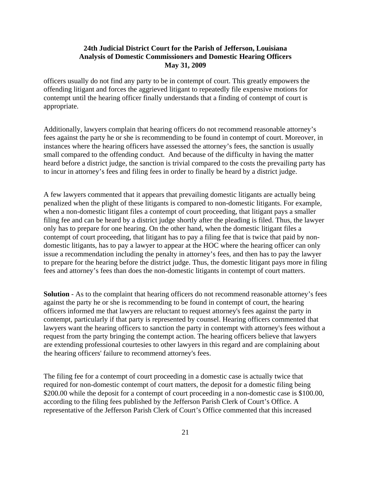officers usually do not find any party to be in contempt of court. This greatly empowers the offending litigant and forces the aggrieved litigant to repeatedly file expensive motions for contempt until the hearing officer finally understands that a finding of contempt of court is appropriate.

Additionally, lawyers complain that hearing officers do not recommend reasonable attorney's fees against the party he or she is recommending to be found in contempt of court. Moreover, in instances where the hearing officers have assessed the attorney's fees, the sanction is usually small compared to the offending conduct. And because of the difficulty in having the matter heard before a district judge, the sanction is trivial compared to the costs the prevailing party has to incur in attorney's fees and filing fees in order to finally be heard by a district judge.

A few lawyers commented that it appears that prevailing domestic litigants are actually being penalized when the plight of these litigants is compared to non-domestic litigants. For example, when a non-domestic litigant files a contempt of court proceeding, that litigant pays a smaller filing fee and can be heard by a district judge shortly after the pleading is filed. Thus, the lawyer only has to prepare for one hearing. On the other hand, when the domestic litigant files a contempt of court proceeding, that litigant has to pay a filing fee that is twice that paid by nondomestic litigants, has to pay a lawyer to appear at the HOC where the hearing officer can only issue a recommendation including the penalty in attorney's fees, and then has to pay the lawyer to prepare for the hearing before the district judge. Thus, the domestic litigant pays more in filing fees and attorney's fees than does the non-domestic litigants in contempt of court matters.

**Solution** - As to the complaint that hearing officers do not recommend reasonable attorney's fees against the party he or she is recommending to be found in contempt of court, the hearing officers informed me that lawyers are reluctant to request attorney's fees against the party in contempt, particularly if that party is represented by counsel. Hearing officers commented that lawyers want the hearing officers to sanction the party in contempt with attorney's fees without a request from the party bringing the contempt action. The hearing officers believe that lawyers are extending professional courtesies to other lawyers in this regard and are complaining about the hearing officers' failure to recommend attorney's fees.

The filing fee for a contempt of court proceeding in a domestic case is actually twice that required for non-domestic contempt of court matters, the deposit for a domestic filing being \$200.00 while the deposit for a contempt of court proceeding in a non-domestic case is \$100.00, according to the filing fees published by the Jefferson Parish Clerk of Court's Office. A representative of the Jefferson Parish Clerk of Court's Office commented that this increased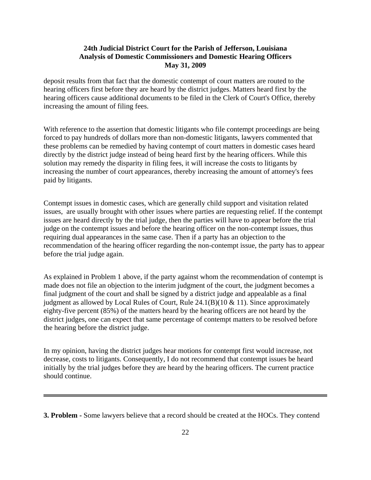deposit results from that fact that the domestic contempt of court matters are routed to the hearing officers first before they are heard by the district judges. Matters heard first by the hearing officers cause additional documents to be filed in the Clerk of Court's Office, thereby increasing the amount of filing fees.

With reference to the assertion that domestic litigants who file contempt proceedings are being forced to pay hundreds of dollars more than non-domestic litigants, lawyers commented that these problems can be remedied by having contempt of court matters in domestic cases heard directly by the district judge instead of being heard first by the hearing officers. While this solution may remedy the disparity in filing fees, it will increase the costs to litigants by increasing the number of court appearances, thereby increasing the amount of attorney's fees paid by litigants.

Contempt issues in domestic cases, which are generally child support and visitation related issues, are usually brought with other issues where parties are requesting relief. If the contempt issues are heard directly by the trial judge, then the parties will have to appear before the trial judge on the contempt issues and before the hearing officer on the non-contempt issues, thus requiring dual appearances in the same case. Then if a party has an objection to the recommendation of the hearing officer regarding the non-contempt issue, the party has to appear before the trial judge again.

As explained in Problem 1 above, if the party against whom the recommendation of contempt is made does not file an objection to the interim judgment of the court, the judgment becomes a final judgment of the court and shall be signed by a district judge and appealable as a final judgment as allowed by Local Rules of Court, Rule  $24.1(B)(10 \& 11)$ . Since approximately eighty-five percent (85%) of the matters heard by the hearing officers are not heard by the district judges, one can expect that same percentage of contempt matters to be resolved before the hearing before the district judge.

In my opinion, having the district judges hear motions for contempt first would increase, not decrease, costs to litigants. Consequently, I do not recommend that contempt issues be heard initially by the trial judges before they are heard by the hearing officers. The current practice should continue.

**3. Problem -** Some lawyers believe that a record should be created at the HOCs. They contend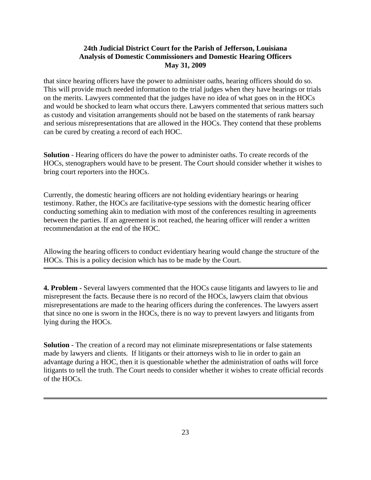that since hearing officers have the power to administer oaths, hearing officers should do so. This will provide much needed information to the trial judges when they have hearings or trials on the merits. Lawyers commented that the judges have no idea of what goes on in the HOCs and would be shocked to learn what occurs there. Lawyers commented that serious matters such as custody and visitation arrangements should not be based on the statements of rank hearsay and serious misrepresentations that are allowed in the HOCs. They contend that these problems can be cured by creating a record of each HOC.

**Solution** - Hearing officers do have the power to administer oaths. To create records of the HOCs, stenographers would have to be present. The Court should consider whether it wishes to bring court reporters into the HOCs.

Currently, the domestic hearing officers are not holding evidentiary hearings or hearing testimony. Rather, the HOCs are facilitative-type sessions with the domestic hearing officer conducting something akin to mediation with most of the conferences resulting in agreements between the parties. If an agreement is not reached, the hearing officer will render a written recommendation at the end of the HOC.

Allowing the hearing officers to conduct evidentiary hearing would change the structure of the HOCs. This is a policy decision which has to be made by the Court.

**4. Problem -** Several lawyers commented that the HOCs cause litigants and lawyers to lie and misrepresent the facts. Because there is no record of the HOCs, lawyers claim that obvious misrepresentations are made to the hearing officers during the conferences. The lawyers assert that since no one is sworn in the HOCs, there is no way to prevent lawyers and litigants from lying during the HOCs.

**Solution** - The creation of a record may not eliminate misrepresentations or false statements made by lawyers and clients. If litigants or their attorneys wish to lie in order to gain an advantage during a HOC, then it is questionable whether the administration of oaths will force litigants to tell the truth. The Court needs to consider whether it wishes to create official records of the HOCs.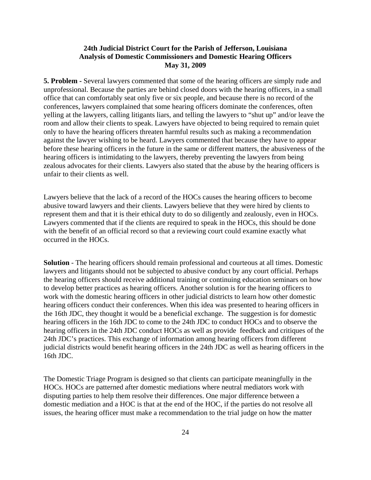**5. Problem -** Several lawyers commented that some of the hearing officers are simply rude and unprofessional. Because the parties are behind closed doors with the hearing officers, in a small office that can comfortably seat only five or six people, and because there is no record of the conferences, lawyers complained that some hearing officers dominate the conferences, often yelling at the lawyers, calling litigants liars, and telling the lawyers to "shut up" and/or leave the room and allow their clients to speak. Lawyers have objected to being required to remain quiet only to have the hearing officers threaten harmful results such as making a recommendation against the lawyer wishing to be heard. Lawyers commented that because they have to appear before these hearing officers in the future in the same or different matters, the abusiveness of the hearing officers is intimidating to the lawyers, thereby preventing the lawyers from being zealous advocates for their clients. Lawyers also stated that the abuse by the hearing officers is unfair to their clients as well.

Lawyers believe that the lack of a record of the HOCs causes the hearing officers to become abusive toward lawyers and their clients. Lawyers believe that they were hired by clients to represent them and that it is their ethical duty to do so diligently and zealously, even in HOCs. Lawyers commented that if the clients are required to speak in the HOCs, this should be done with the benefit of an official record so that a reviewing court could examine exactly what occurred in the HOCs.

**Solution** - The hearing officers should remain professional and courteous at all times. Domestic lawyers and litigants should not be subjected to abusive conduct by any court official. Perhaps the hearing officers should receive additional training or continuing education seminars on how to develop better practices as hearing officers. Another solution is for the hearing officers to work with the domestic hearing officers in other judicial districts to learn how other domestic hearing officers conduct their conferences. When this idea was presented to hearing officers in the 16th JDC, they thought it would be a beneficial exchange. The suggestion is for domestic hearing officers in the 16th JDC to come to the 24th JDC to conduct HOCs and to observe the hearing officers in the 24th JDC conduct HOCs as well as provide feedback and critiques of the 24th JDC's practices. This exchange of information among hearing officers from different judicial districts would benefit hearing officers in the 24th JDC as well as hearing officers in the 16th JDC.

The Domestic Triage Program is designed so that clients can participate meaningfully in the HOCs. HOCs are patterned after domestic mediations where neutral mediators work with disputing parties to help them resolve their differences. One major difference between a domestic mediation and a HOC is that at the end of the HOC, if the parties do not resolve all issues, the hearing officer must make a recommendation to the trial judge on how the matter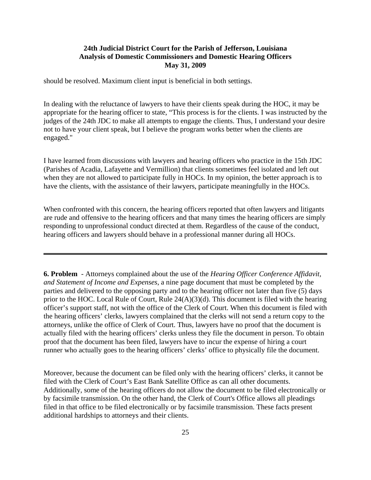should be resolved. Maximum client input is beneficial in both settings.

In dealing with the reluctance of lawyers to have their clients speak during the HOC, it may be appropriate for the hearing officer to state, "This process is for the clients. I was instructed by the judges of the 24th JDC to make all attempts to engage the clients. Thus, I understand your desire not to have your client speak, but I believe the program works better when the clients are engaged."

I have learned from discussions with lawyers and hearing officers who practice in the 15th JDC (Parishes of Acadia, Lafayette and Vermillion) that clients sometimes feel isolated and left out when they are not allowed to participate fully in HOCs. In my opinion, the better approach is to have the clients, with the assistance of their lawyers, participate meaningfully in the HOCs.

When confronted with this concern, the hearing officers reported that often lawyers and litigants are rude and offensive to the hearing officers and that many times the hearing officers are simply responding to unprofessional conduct directed at them. Regardless of the cause of the conduct, hearing officers and lawyers should behave in a professional manner during all HOCs.

**6. Problem** - Attorneys complained about the use of the *Hearing Officer Conference Affidavit, and Statement of Income and Expenses*, a nine page document that must be completed by the parties and delivered to the opposing party and to the hearing officer not later than five (5) days prior to the HOC. Local Rule of Court, Rule 24(A)(3)(d). This document is filed with the hearing officer's support staff, not with the office of the Clerk of Court. When this document is filed with the hearing officers' clerks, lawyers complained that the clerks will not send a return copy to the attorneys, unlike the office of Clerk of Court. Thus, lawyers have no proof that the document is actually filed with the hearing officers' clerks unless they file the document in person. To obtain proof that the document has been filed, lawyers have to incur the expense of hiring a court runner who actually goes to the hearing officers' clerks' office to physically file the document.

Moreover, because the document can be filed only with the hearing officers' clerks, it cannot be filed with the Clerk of Court's East Bank Satellite Office as can all other documents. Additionally, some of the hearing officers do not allow the document to be filed electronically or by facsimile transmission. On the other hand, the Clerk of Court's Office allows all pleadings filed in that office to be filed electronically or by facsimile transmission. These facts present additional hardships to attorneys and their clients.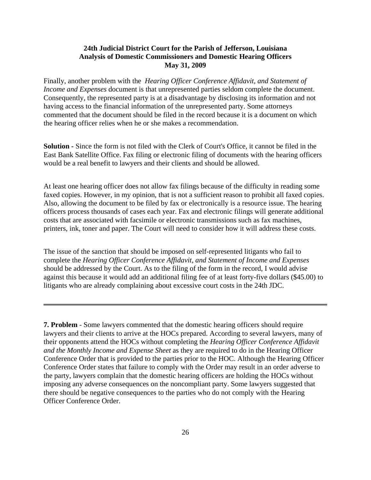Finally, another problem with the *Hearing Officer Conference Affidavit, and Statement of Income and Expenses* document is that unrepresented parties seldom complete the document. Consequently, the represented party is at a disadvantage by disclosing its information and not having access to the financial information of the unrepresented party. Some attorneys commented that the document should be filed in the record because it is a document on which the hearing officer relies when he or she makes a recommendation.

**Solution -** Since the form is not filed with the Clerk of Court's Office, it cannot be filed in the East Bank Satellite Office. Fax filing or electronic filing of documents with the hearing officers would be a real benefit to lawyers and their clients and should be allowed.

At least one hearing officer does not allow fax filings because of the difficulty in reading some faxed copies. However, in my opinion, that is not a sufficient reason to prohibit all faxed copies. Also, allowing the document to be filed by fax or electronically is a resource issue. The hearing officers process thousands of cases each year. Fax and electronic filings will generate additional costs that are associated with facsimile or electronic transmissions such as fax machines, printers, ink, toner and paper. The Court will need to consider how it will address these costs.

The issue of the sanction that should be imposed on self-represented litigants who fail to complete the *Hearing Officer Conference Affidavit, and Statement of Income and Expenses* should be addressed by the Court. As to the filing of the form in the record, I would advise against this because it would add an additional filing fee of at least forty-five dollars (\$45.00) to litigants who are already complaining about excessive court costs in the 24th JDC.

**7. Problem** - Some lawyers commented that the domestic hearing officers should require lawyers and their clients to arrive at the HOCs prepared. According to several lawyers, many of their opponents attend the HOCs without completing the *Hearing Officer Conference Affidavit and the Monthly Income and Expense Sheet* as they are required to do in the Hearing Officer Conference Order that is provided to the parties prior to the HOC. Although the Hearing Officer Conference Order states that failure to comply with the Order may result in an order adverse to the party, lawyers complain that the domestic hearing officers are holding the HOCs without imposing any adverse consequences on the noncompliant party. Some lawyers suggested that there should be negative consequences to the parties who do not comply with the Hearing Officer Conference Order.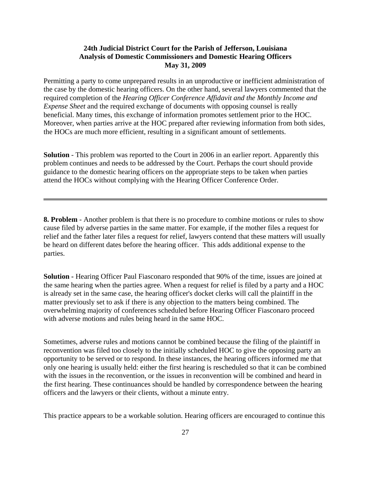Permitting a party to come unprepared results in an unproductive or inefficient administration of the case by the domestic hearing officers. On the other hand, several lawyers commented that the required completion of the *Hearing Officer Conference Affidavit and the Monthly Income and Expense Sheet* and the required exchange of documents with opposing counsel is really beneficial. Many times, this exchange of information promotes settlement prior to the HOC. Moreover, when parties arrive at the HOC prepared after reviewing information from both sides, the HOCs are much more efficient, resulting in a significant amount of settlements.

**Solution** - This problem was reported to the Court in 2006 in an earlier report. Apparently this problem continues and needs to be addressed by the Court. Perhaps the court should provide guidance to the domestic hearing officers on the appropriate steps to be taken when parties attend the HOCs without complying with the Hearing Officer Conference Order.

**8. Problem** - Another problem is that there is no procedure to combine motions or rules to show cause filed by adverse parties in the same matter. For example, if the mother files a request for relief and the father later files a request for relief, lawyers contend that these matters will usually be heard on different dates before the hearing officer. This adds additional expense to the parties.

**Solution - Hearing Officer Paul Fiasconaro responded that 90% of the time, issues are joined at** the same hearing when the parties agree. When a request for relief is filed by a party and a HOC is already set in the same case, the hearing officer's docket clerks will call the plaintiff in the matter previously set to ask if there is any objection to the matters being combined. The overwhelming majority of conferences scheduled before Hearing Officer Fiasconaro proceed with adverse motions and rules being heard in the same HOC.

Sometimes, adverse rules and motions cannot be combined because the filing of the plaintiff in reconvention was filed too closely to the initially scheduled HOC to give the opposing party an opportunity to be served or to respond. In these instances, the hearing officers informed me that only one hearing is usually held: either the first hearing is rescheduled so that it can be combined with the issues in the reconvention, or the issues in reconvention will be combined and heard in the first hearing. These continuances should be handled by correspondence between the hearing officers and the lawyers or their clients, without a minute entry.

This practice appears to be a workable solution. Hearing officers are encouraged to continue this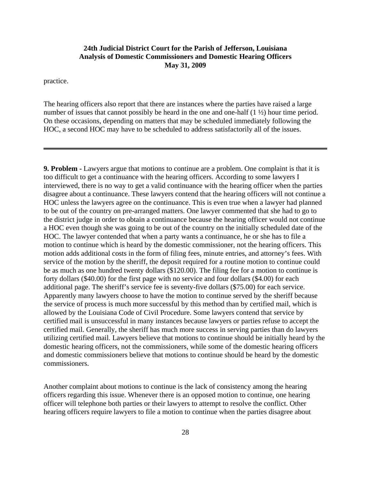practice.

The hearing officers also report that there are instances where the parties have raised a large number of issues that cannot possibly be heard in the one and one-half  $(1 \frac{1}{2})$  hour time period. On these occasions, depending on matters that may be scheduled immediately following the HOC, a second HOC may have to be scheduled to address satisfactorily all of the issues.

**9. Problem -** Lawyers argue that motions to continue are a problem. One complaint is that it is too difficult to get a continuance with the hearing officers. According to some lawyers I interviewed, there is no way to get a valid continuance with the hearing officer when the parties disagree about a continuance. These lawyers contend that the hearing officers will not continue a HOC unless the lawyers agree on the continuance. This is even true when a lawyer had planned to be out of the country on pre-arranged matters. One lawyer commented that she had to go to the district judge in order to obtain a continuance because the hearing officer would not continue a HOC even though she was going to be out of the country on the initially scheduled date of the HOC. The lawyer contended that when a party wants a continuance, he or she has to file a motion to continue which is heard by the domestic commissioner, not the hearing officers. This motion adds additional costs in the form of filing fees, minute entries, and attorney's fees. With service of the motion by the sheriff, the deposit required for a routine motion to continue could be as much as one hundred twenty dollars (\$120.00). The filing fee for a motion to continue is forty dollars (\$40.00) for the first page with no service and four dollars (\$4.00) for each additional page. The sheriff's service fee is seventy-five dollars (\$75.00) for each service. Apparently many lawyers choose to have the motion to continue served by the sheriff because the service of process is much more successful by this method than by certified mail, which is allowed by the Louisiana Code of Civil Procedure. Some lawyers contend that service by certified mail is unsuccessful in many instances because lawyers or parties refuse to accept the certified mail. Generally, the sheriff has much more success in serving parties than do lawyers utilizing certified mail. Lawyers believe that motions to continue should be initially heard by the domestic hearing officers, not the commissioners, while some of the domestic hearing officers and domestic commissioners believe that motions to continue should be heard by the domestic commissioners.

Another complaint about motions to continue is the lack of consistency among the hearing officers regarding this issue. Whenever there is an opposed motion to continue, one hearing officer will telephone both parties or their lawyers to attempt to resolve the conflict. Other hearing officers require lawyers to file a motion to continue when the parties disagree about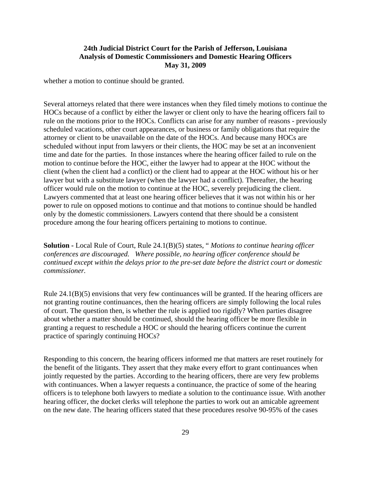whether a motion to continue should be granted.

Several attorneys related that there were instances when they filed timely motions to continue the HOCs because of a conflict by either the lawyer or client only to have the hearing officers fail to rule on the motions prior to the HOCs. Conflicts can arise for any number of reasons - previously scheduled vacations, other court appearances, or business or family obligations that require the attorney or client to be unavailable on the date of the HOCs. And because many HOCs are scheduled without input from lawyers or their clients, the HOC may be set at an inconvenient time and date for the parties. In those instances where the hearing officer failed to rule on the motion to continue before the HOC, either the lawyer had to appear at the HOC without the client (when the client had a conflict) or the client had to appear at the HOC without his or her lawyer but with a substitute lawyer (when the lawyer had a conflict). Thereafter, the hearing officer would rule on the motion to continue at the HOC, severely prejudicing the client. Lawyers commented that at least one hearing officer believes that it was not within his or her power to rule on opposed motions to continue and that motions to continue should be handled only by the domestic commissioners. Lawyers contend that there should be a consistent procedure among the four hearing officers pertaining to motions to continue.

**Solution -** Local Rule of Court, Rule 24.1(B)(5) states, " *Motions to continue hearing officer conferences are discouraged. Where possible, no hearing officer conference should be continued except within the delays prior to the pre-set date before the district court or domestic commissioner.*

Rule 24.1(B)(5) envisions that very few continuances will be granted. If the hearing officers are not granting routine continuances, then the hearing officers are simply following the local rules of court. The question then, is whether the rule is applied too rigidly? When parties disagree about whether a matter should be continued, should the hearing officer be more flexible in granting a request to reschedule a HOC or should the hearing officers continue the current practice of sparingly continuing HOCs?

Responding to this concern, the hearing officers informed me that matters are reset routinely for the benefit of the litigants. They assert that they make every effort to grant continuances when jointly requested by the parties. According to the hearing officers, there are very few problems with continuances. When a lawyer requests a continuance, the practice of some of the hearing officers is to telephone both lawyers to mediate a solution to the continuance issue. With another hearing officer, the docket clerks will telephone the parties to work out an amicable agreement on the new date. The hearing officers stated that these procedures resolve 90-95% of the cases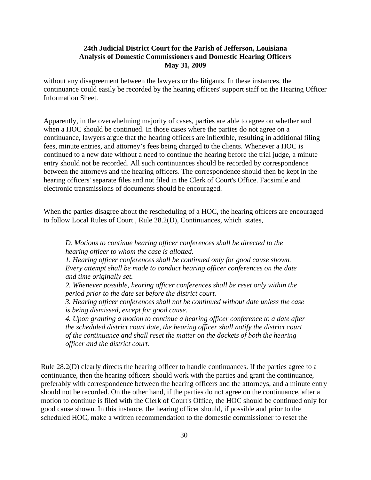without any disagreement between the lawyers or the litigants. In these instances, the continuance could easily be recorded by the hearing officers' support staff on the Hearing Officer Information Sheet.

Apparently, in the overwhelming majority of cases, parties are able to agree on whether and when a HOC should be continued. In those cases where the parties do not agree on a continuance, lawyers argue that the hearing officers are inflexible, resulting in additional filing fees, minute entries, and attorney's fees being charged to the clients. Whenever a HOC is continued to a new date without a need to continue the hearing before the trial judge, a minute entry should not be recorded. All such continuances should be recorded by correspondence between the attorneys and the hearing officers. The correspondence should then be kept in the hearing officers' separate files and not filed in the Clerk of Court's Office. Facsimile and electronic transmissions of documents should be encouraged.

When the parties disagree about the rescheduling of a HOC, the hearing officers are encouraged to follow Local Rules of Court , Rule 28.2(D), Continuances, which states,

*D. Motions to continue hearing officer conferences shall be directed to the hearing officer to whom the case is allotted.*

*1. Hearing officer conferences shall be continued only for good cause shown. Every attempt shall be made to conduct hearing officer conferences on the date and time originally set.*

*2. Whenever possible, hearing officer conferences shall be reset only within the period prior to the date set before the district court.*

*3. Hearing officer conferences shall not be continued without date unless the case is being dismissed, except for good cause.*

*4. Upon granting a motion to continue a hearing officer conference to a date after the scheduled district court date, the hearing officer shall notify the district court of the continuance and shall reset the matter on the dockets of both the hearing officer and the district court.*

Rule 28.2(D) clearly directs the hearing officer to handle continuances. If the parties agree to a continuance, then the hearing officers should work with the parties and grant the continuance, preferably with correspondence between the hearing officers and the attorneys, and a minute entry should not be recorded. On the other hand, if the parties do not agree on the continuance, after a motion to continue is filed with the Clerk of Court's Office, the HOC should be continued only for good cause shown. In this instance, the hearing officer should, if possible and prior to the scheduled HOC, make a written recommendation to the domestic commissioner to reset the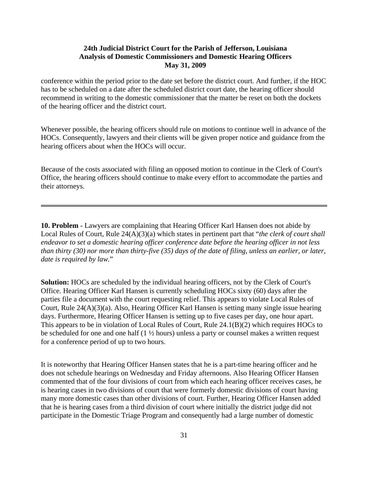conference within the period prior to the date set before the district court. And further, if the HOC has to be scheduled on a date after the scheduled district court date, the hearing officer should recommend in writing to the domestic commissioner that the matter be reset on both the dockets of the hearing officer and the district court.

Whenever possible, the hearing officers should rule on motions to continue well in advance of the HOCs. Consequently, lawyers and their clients will be given proper notice and guidance from the hearing officers about when the HOCs will occur.

Because of the costs associated with filing an opposed motion to continue in the Clerk of Court's Office, the hearing officers should continue to make every effort to accommodate the parties and their attorneys.

**10. Problem** - Lawyers are complaining that Hearing Officer Karl Hansen does not abide by Local Rules of Court, Rule 24(A)(3)(a) which states in pertinent part that "*the clerk of court shall endeavor to set a domestic hearing officer conference date before the hearing officer in not less than thirty (30) nor more than thirty-five (35) days of the date of filing, unless an earlier, or later, date is required by law.*"

**Solution:** HOCs are scheduled by the individual hearing officers, not by the Clerk of Court's Office. Hearing Officer Karl Hansen is currently scheduling HOCs sixty (60) days after the parties file a document with the court requesting relief. This appears to violate Local Rules of Court, Rule 24(A)(3)(a). Also, Hearing Officer Karl Hansen is setting many single issue hearing days. Furthermore, Hearing Officer Hansen is setting up to five cases per day, one hour apart. This appears to be in violation of Local Rules of Court, Rule 24.1(B)(2) which requires HOCs to be scheduled for one and one half (1 ½ hours) unless a party or counsel makes a written request for a conference period of up to two hours.

It is noteworthy that Hearing Officer Hansen states that he is a part-time hearing officer and he does not schedule hearings on Wednesday and Friday afternoons. Also Hearing Officer Hansen commented that of the four divisions of court from which each hearing officer receives cases, he is hearing cases in two divisions of court that were formerly domestic divisions of court having many more domestic cases than other divisions of court. Further, Hearing Officer Hansen added that he is hearing cases from a third division of court where initially the district judge did not participate in the Domestic Triage Program and consequently had a large number of domestic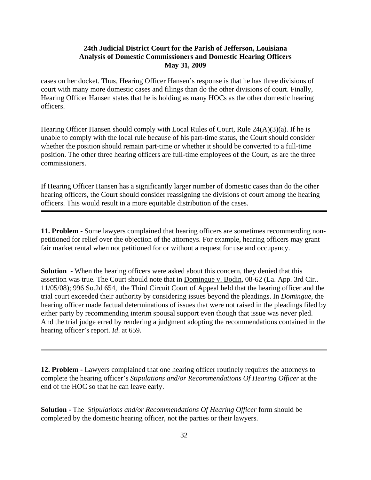cases on her docket. Thus, Hearing Officer Hansen's response is that he has three divisions of court with many more domestic cases and filings than do the other divisions of court. Finally, Hearing Officer Hansen states that he is holding as many HOCs as the other domestic hearing officers.

Hearing Officer Hansen should comply with Local Rules of Court, Rule  $24(A)(3)(a)$ . If he is unable to comply with the local rule because of his part-time status, the Court should consider whether the position should remain part-time or whether it should be converted to a full-time position. The other three hearing officers are full-time employees of the Court, as are the three commissioners.

If Hearing Officer Hansen has a significantly larger number of domestic cases than do the other hearing officers, the Court should consider reassigning the divisions of court among the hearing officers. This would result in a more equitable distribution of the cases.

**11. Problem** - Some lawyers complained that hearing officers are sometimes recommending nonpetitioned for relief over the objection of the attorneys. For example, hearing officers may grant fair market rental when not petitioned for or without a request for use and occupancy.

**Solution** - When the hearing officers were asked about this concern, they denied that this assertion was true. The Court should note that in Domingue v. Bodin, 08-62 (La. App. 3rd Cir.. 11/05/08); 996 So.2d 654, the Third Circuit Court of Appeal held that the hearing officer and the trial court exceeded their authority by considering issues beyond the pleadings. In *Domingue*, the hearing officer made factual determinations of issues that were not raised in the pleadings filed by either party by recommending interim spousal support even though that issue was never pled. And the trial judge erred by rendering a judgment adopting the recommendations contained in the hearing officer's report. *Id*. at 659.

**12. Problem -** Lawyers complained that one hearing officer routinely requires the attorneys to complete the hearing officer's *Stipulations and/or Recommendations Of Hearing Officer* at the end of the HOC so that he can leave early.

**Solution -** The *Stipulations and/or Recommendations Of Hearing Officer* form should be completed by the domestic hearing officer, not the parties or their lawyers.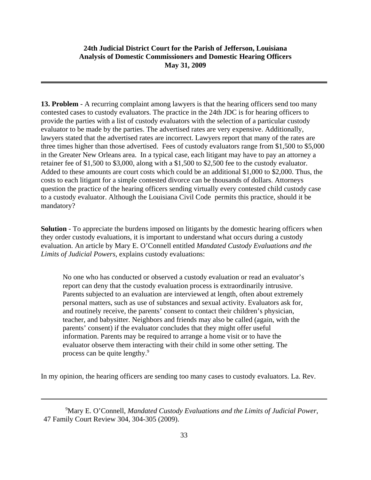.

**13. Problem** - A recurring complaint among lawyers is that the hearing officers send too many contested cases to custody evaluators. The practice in the 24th JDC is for hearing officers to provide the parties with a list of custody evaluators with the selection of a particular custody evaluator to be made by the parties. The advertised rates are very expensive. Additionally, lawyers stated that the advertised rates are incorrect. Lawyers report that many of the rates are three times higher than those advertised. Fees of custody evaluators range from \$1,500 to \$5,000 in the Greater New Orleans area. In a typical case, each litigant may have to pay an attorney a retainer fee of \$1,500 to \$3,000, along with a \$1,500 to \$2,500 fee to the custody evaluator. Added to these amounts are court costs which could be an additional \$1,000 to \$2,000. Thus, the costs to each litigant for a simple contested divorce can be thousands of dollars. Attorneys question the practice of the hearing officers sending virtually every contested child custody case to a custody evaluator. Although the Louisiana Civil Code permits this practice, should it be mandatory?

**Solution** - To appreciate the burdens imposed on litigants by the domestic hearing officers when they order custody evaluations, it is important to understand what occurs during a custody evaluation. An article by Mary E. O'Connell entitled *Mandated Custody Evaluations and the Limits of Judicial Powers*, explains custody evaluations:

No one who has conducted or observed a custody evaluation or read an evaluator's report can deny that the custody evaluation process is extraordinarily intrusive. Parents subjected to an evaluation are interviewed at length, often about extremely personal matters, such as use of substances and sexual activity. Evaluators ask for, and routinely receive, the parents' consent to contact their children's physician, teacher, and babysitter. Neighbors and friends may also be called (again, with the parents' consent) if the evaluator concludes that they might offer useful information. Parents may be required to arrange a home visit or to have the evaluator observe them interacting with their child in some other setting. The process can be quite lengthy.<sup>9</sup>

In my opinion, the hearing officers are sending too many cases to custody evaluators. La. Rev.

<sup>9</sup> Mary E. O'Connell, *Mandated Custody Evaluations and the Limits of Judicial Power*, 47 Family Court Review 304, 304-305 (2009).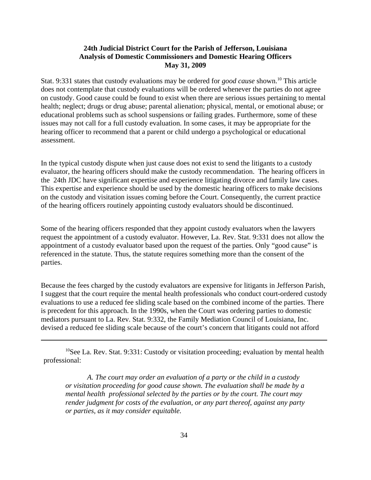Stat. 9:331 states that custody evaluations may be ordered for *good cause* shown.10 This article does not contemplate that custody evaluations will be ordered whenever the parties do not agree on custody. Good cause could be found to exist when there are serious issues pertaining to mental health; neglect; drugs or drug abuse; parental alienation; physical, mental, or emotional abuse; or educational problems such as school suspensions or failing grades. Furthermore, some of these issues may not call for a full custody evaluation. In some cases, it may be appropriate for the hearing officer to recommend that a parent or child undergo a psychological or educational assessment.

In the typical custody dispute when just cause does not exist to send the litigants to a custody evaluator, the hearing officers should make the custody recommendation. The hearing officers in the 24th JDC have significant expertise and experience litigating divorce and family law cases. This expertise and experience should be used by the domestic hearing officers to make decisions on the custody and visitation issues coming before the Court. Consequently, the current practice of the hearing officers routinely appointing custody evaluators should be discontinued.

Some of the hearing officers responded that they appoint custody evaluators when the lawyers request the appointment of a custody evaluator. However, La. Rev. Stat. 9:331 does not allow the appointment of a custody evaluator based upon the request of the parties. Only "good cause" is referenced in the statute. Thus, the statute requires something more than the consent of the parties.

Because the fees charged by the custody evaluators are expensive for litigants in Jefferson Parish, I suggest that the court require the mental health professionals who conduct court-ordered custody evaluations to use a reduced fee sliding scale based on the combined income of the parties. There is precedent for this approach. In the 1990s, when the Court was ordering parties to domestic mediators pursuant to La. Rev. Stat. 9:332, the Family Mediation Council of Louisiana, Inc. devised a reduced fee sliding scale because of the court's concern that litigants could not afford

 $10$ See La. Rev. Stat. 9:331: Custody or visitation proceeding; evaluation by mental health professional:

*A. The court may order an evaluation of a party or the child in a custody or visitation proceeding for good cause shown. The evaluation shall be made by a mental health professional selected by the parties or by the court. The court may render judgment for costs of the evaluation, or any part thereof, against any party or parties, as it may consider equitable.*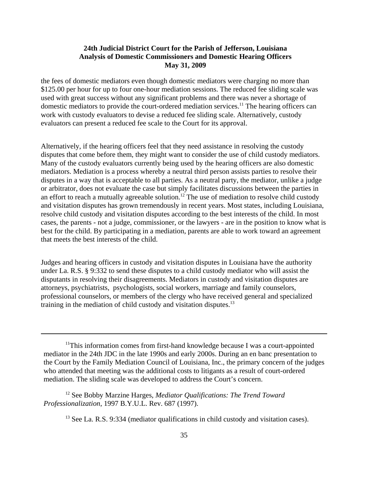the fees of domestic mediators even though domestic mediators were charging no more than \$125.00 per hour for up to four one-hour mediation sessions. The reduced fee sliding scale was used with great success without any significant problems and there was never a shortage of domestic mediators to provide the court-ordered mediation services.<sup>11</sup> The hearing officers can work with custody evaluators to devise a reduced fee sliding scale. Alternatively, custody evaluators can present a reduced fee scale to the Court for its approval.

Alternatively, if the hearing officers feel that they need assistance in resolving the custody disputes that come before them, they might want to consider the use of child custody mediators. Many of the custody evaluators currently being used by the hearing officers are also domestic mediators. Mediation is a process whereby a neutral third person assists parties to resolve their disputes in a way that is acceptable to all parties. As a neutral party, the mediator, unlike a judge or arbitrator, does not evaluate the case but simply facilitates discussions between the parties in an effort to reach a mutually agreeable solution.<sup>12</sup> The use of mediation to resolve child custody and visitation disputes has grown tremendously in recent years. Most states, including Louisiana, resolve child custody and visitation disputes according to the best interests of the child. In most cases, the parents - not a judge, commissioner, or the lawyers - are in the position to know what is best for the child. By participating in a mediation, parents are able to work toward an agreement that meets the best interests of the child.

Judges and hearing officers in custody and visitation disputes in Louisiana have the authority under La. R.S. § 9:332 to send these disputes to a child custody mediator who will assist the disputants in resolving their disagreements. Mediators in custody and visitation disputes are attorneys, psychiatrists, psychologists, social workers, marriage and family counselors, professional counselors, or members of the clergy who have received general and specialized training in the mediation of child custody and visitation disputes.<sup>13</sup>

12 See Bobby Marzine Harges, *Mediator Qualifications: The Trend Toward Professionalization*, 1997 B.Y.U.L. Rev. 687 (1997).

 $11$ This information comes from first-hand knowledge because I was a court-appointed mediator in the 24th JDC in the late 1990s and early 2000s. During an en banc presentation to the Court by the Family Mediation Council of Louisiana, Inc., the primary concern of the judges who attended that meeting was the additional costs to litigants as a result of court-ordered mediation. The sliding scale was developed to address the Court's concern.

<sup>&</sup>lt;sup>13</sup> See La. R.S. 9:334 (mediator qualifications in child custody and visitation cases).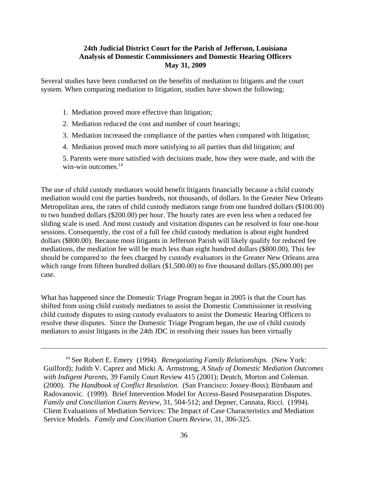Several studies have been conducted on the benefits of mediation to litigants and the court system. When comparing mediation to litigation, studies have shown the following:

- 1. Mediation proved more effective than litigation;
- 2. Mediation reduced the cost and number of court hearings;
- 3. Mediation increased the compliance of the parties when compared with litigation;
- 4. Mediation proved much more satisfying to all parties than did litigation; and
- 5. Parents were more satisfied with decisions made, how they were made, and with the win-win outcomes. $14$

The use of child custody mediators would benefit litigants financially because a child custody mediation would cost the parties hundreds, not thousands, of dollars. In the Greater New Orleans Metropolitan area, the rates of child custody mediators range from one hundred dollars (\$100.00) to two hundred dollars (\$200.00) per hour. The hourly rates are even less when a reduced fee sliding scale is used. And most custody and visitation disputes can be resolved in four one-hour sessions. Consequently, the cost of a full fee child custody mediation is about eight hundred dollars (\$800.00). Because most litigants in Jefferson Parish will likely qualify for reduced fee mediations, the mediation fee will be much less than eight hundred dollars (\$800.00). This fee should be compared to the fees charged by custody evaluators in the Greater New Orleans area which range from fifteen hundred dollars (\$1,500.00) to five thousand dollars (\$5,000.00) per case.

What has happened since the Domestic Triage Program began in 2005 is that the Court has shifted from using child custody mediators to assist the Domestic Commissioner in resolving child custody disputes to using custody evaluators to assist the Domestic Hearing Officers to resolve these disputes. Since the Domestic Triage Program began, the use of child custody mediators to assist litigants in the 24th JDC in resolving their issues has been virtually

<sup>&</sup>lt;sup>14</sup> See Robert E. Emery (1994). *Renegotiating Family Relationships.* (New York: Guilford); Judith V. Caprez and Micki A. Armstrong, *A Study of Domestic Mediation Outcomes with Indigent Parents*, 39 Family Court Review 415 (2001); Deutch, Morton and Coleman. (2000). *The Handbook of Conflict Resolution*. (San Francisco: Jossey-Boss); Birnbaum and Radovanovic. (1999). Brief Intervention Model for Access-Based Postseparation Disputes. *Family and Conciliation Courts Review*, 31, 504-512; and Depner, Cannata, Ricci. (1994). Client Evaluations of Mediation Services: The Impact of Case Characteristics and Mediation Service Models. *Family and Conciliation Courts Review*, 31, 306-325.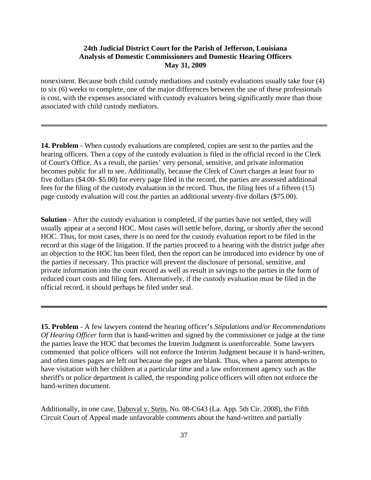nonexistent. Because both child custody mediations and custody evaluations usually take four (4) to six (6) weeks to complete, one of the major differences between the use of these professionals is cost, with the expenses associated with custody evaluators being significantly more than those associated with child custody mediators.

**14. Problem** - When custody evaluations are completed, copies are sent to the parties and the hearing officers. Then a copy of the custody evaluation is filed in the official record in the Clerk of Court's Office. As a result, the parties' very personal, sensitive, and private information becomes public for all to see. Additionally, because the Clerk of Court charges at least four to five dollars (\$4.00- \$5.00) for every page filed in the record, the parties are assessed additional fees for the filing of the custody evaluation in the record. Thus, the filing fees of a fifteen (15) page custody evaluation will cost the parties an additional seventy-five dollars (\$75.00).

**Solution -** After the custody evaluation is completed, if the parties have not settled, they will usually appear at a second HOC. Most cases will settle before, during, or shortly after the second HOC. Thus, for most cases, there is no need for the custody evaluation report to be filed in the record at this stage of the litigation. If the parties proceed to a hearing with the district judge after an objection to the HOC has been filed, then the report can be introduced into evidence by one of the parties if necessary. This practice will prevent the disclosure of personal, sensitive, and private information into the court record as well as result in savings to the parties in the form of reduced court costs and filing fees. Alternatively, if the custody evaluation must be filed in the official record, it should perhaps be filed under seal.

**15. Problem** - A few lawyers contend the hearing officer's *Stipulations and/or Recommendations Of Hearing Officer* form that is hand-written and signed by the commissioner or judge at the time the parties leave the HOC that becomes the Interim Judgment is unenforceable. Some lawyers commented that police officers will not enforce the Interim Judgment because it is hand-written, and often times pages are left out because the pages are blank. Thus, when a parent attempts to have visitation with her children at a particular time and a law enforcement agency such as the sheriff's or police department is called, the responding police officers will often not enforce the hand-written document.

Additionally, in one case, Daboval v. Stein, No. 08-C643 (La. App. 5th Cir. 2008), the Fifth Circuit Court of Appeal made unfavorable comments about the hand-written and partially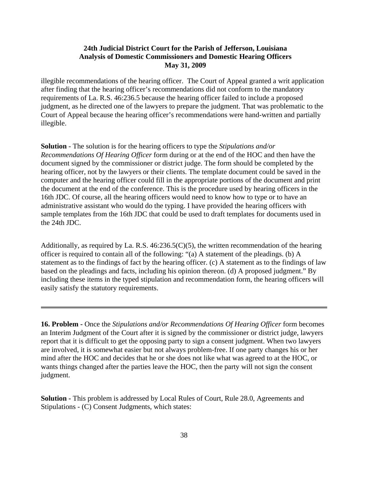illegible recommendations of the hearing officer. The Court of Appeal granted a writ application after finding that the hearing officer's recommendations did not conform to the mandatory requirements of La. R.S. 46:236.5 because the hearing officer failed to include a proposed judgment, as he directed one of the lawyers to prepare the judgment. That was problematic to the Court of Appeal because the hearing officer's recommendations were hand-written and partially illegible.

**Solution** - The solution is for the hearing officers to type the *Stipulations and/or Recommendations Of Hearing Officer* form during or at the end of the HOC and then have the document signed by the commissioner or district judge. The form should be completed by the hearing officer, not by the lawyers or their clients. The template document could be saved in the computer and the hearing officer could fill in the appropriate portions of the document and print the document at the end of the conference. This is the procedure used by hearing officers in the 16th JDC. Of course, all the hearing officers would need to know how to type or to have an administrative assistant who would do the typing. I have provided the hearing officers with sample templates from the 16th JDC that could be used to draft templates for documents used in the 24th JDC.

Additionally, as required by La. R.S. 46:236.5(C)(5), the written recommendation of the hearing officer is required to contain all of the following: "(a) A statement of the pleadings. (b) A statement as to the findings of fact by the hearing officer. (c) A statement as to the findings of law based on the pleadings and facts, including his opinion thereon. (d) A proposed judgment." By including these items in the typed stipulation and recommendation form, the hearing officers will easily satisfy the statutory requirements.

**16. Problem -** Once the *Stipulations and/or Recommendations Of Hearing Officer* form becomes an Interim Judgment of the Court after it is signed by the commissioner or district judge, lawyers report that it is difficult to get the opposing party to sign a consent judgment. When two lawyers are involved, it is somewhat easier but not always problem-free. If one party changes his or her mind after the HOC and decides that he or she does not like what was agreed to at the HOC, or wants things changed after the parties leave the HOC, then the party will not sign the consent judgment.

**Solution -** This problem is addressed by Local Rules of Court, Rule 28.0, Agreements and Stipulations - (C) Consent Judgments, which states: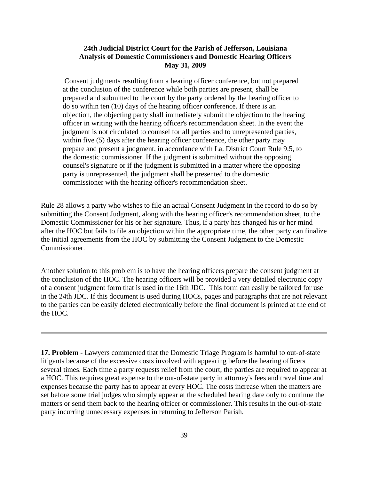Consent judgments resulting from a hearing officer conference, but not prepared at the conclusion of the conference while both parties are present, shall be prepared and submitted to the court by the party ordered by the hearing officer to do so within ten (10) days of the hearing officer conference. If there is an objection, the objecting party shall immediately submit the objection to the hearing officer in writing with the hearing officer's recommendation sheet. In the event the judgment is not circulated to counsel for all parties and to unrepresented parties, within five (5) days after the hearing officer conference, the other party may prepare and present a judgment, in accordance with La. District Court Rule 9.5, to the domestic commissioner. If the judgment is submitted without the opposing counsel's signature or if the judgment is submitted in a matter where the opposing party is unrepresented, the judgment shall be presented to the domestic commissioner with the hearing officer's recommendation sheet.

Rule 28 allows a party who wishes to file an actual Consent Judgment in the record to do so by submitting the Consent Judgment, along with the hearing officer's recommendation sheet, to the Domestic Commissioner for his or her signature. Thus, if a party has changed his or her mind after the HOC but fails to file an objection within the appropriate time, the other party can finalize the initial agreements from the HOC by submitting the Consent Judgment to the Domestic Commissioner.

Another solution to this problem is to have the hearing officers prepare the consent judgment at the conclusion of the HOC. The hearing officers will be provided a very detailed electronic copy of a consent judgment form that is used in the 16th JDC. This form can easily be tailored for use in the 24th JDC. If this document is used during HOCs, pages and paragraphs that are not relevant to the parties can be easily deleted electronically before the final document is printed at the end of the HOC.

**17. Problem -** Lawyers commented that the Domestic Triage Program is harmful to out-of-state litigants because of the excessive costs involved with appearing before the hearing officers several times. Each time a party requests relief from the court, the parties are required to appear at a HOC. This requires great expense to the out-of-state party in attorney's fees and travel time and expenses because the party has to appear at every HOC. The costs increase when the matters are set before some trial judges who simply appear at the scheduled hearing date only to continue the matters or send them back to the hearing officer or commissioner. This results in the out-of-state party incurring unnecessary expenses in returning to Jefferson Parish.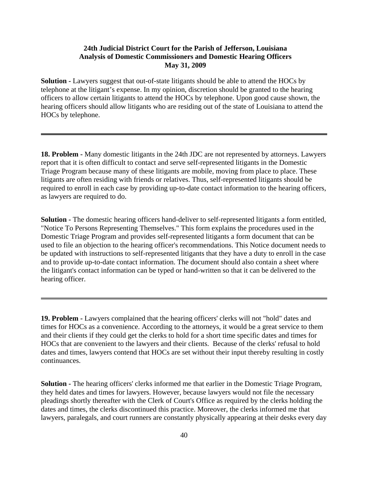**Solution -** Lawyers suggest that out-of-state litigants should be able to attend the HOCs by telephone at the litigant's expense. In my opinion, discretion should be granted to the hearing officers to allow certain litigants to attend the HOCs by telephone. Upon good cause shown, the hearing officers should allow litigants who are residing out of the state of Louisiana to attend the HOCs by telephone.

**18. Problem -** Many domestic litigants in the 24th JDC are not represented by attorneys. Lawyers report that it is often difficult to contact and serve self-represented litigants in the Domestic Triage Program because many of these litigants are mobile, moving from place to place. These litigants are often residing with friends or relatives. Thus, self-represented litigants should be required to enroll in each case by providing up-to-date contact information to the hearing officers, as lawyers are required to do.

**Solution -** The domestic hearing officers hand-deliver to self-represented litigants a form entitled, "Notice To Persons Representing Themselves." This form explains the procedures used in the Domestic Triage Program and provides self-represented litigants a form document that can be used to file an objection to the hearing officer's recommendations. This Notice document needs to be updated with instructions to self-represented litigants that they have a duty to enroll in the case and to provide up-to-date contact information. The document should also contain a sheet where the litigant's contact information can be typed or hand-written so that it can be delivered to the hearing officer.

**19. Problem -** Lawyers complained that the hearing officers' clerks will not "hold" dates and times for HOCs as a convenience. According to the attorneys, it would be a great service to them and their clients if they could get the clerks to hold for a short time specific dates and times for HOCs that are convenient to the lawyers and their clients. Because of the clerks' refusal to hold dates and times, lawyers contend that HOCs are set without their input thereby resulting in costly continuances.

**Solution -** The hearing officers' clerks informed me that earlier in the Domestic Triage Program, they held dates and times for lawyers. However, because lawyers would not file the necessary pleadings shortly thereafter with the Clerk of Court's Office as required by the clerks holding the dates and times, the clerks discontinued this practice. Moreover, the clerks informed me that lawyers, paralegals, and court runners are constantly physically appearing at their desks every day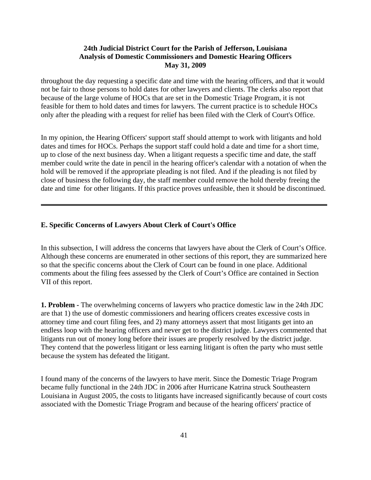throughout the day requesting a specific date and time with the hearing officers, and that it would not be fair to those persons to hold dates for other lawyers and clients. The clerks also report that because of the large volume of HOCs that are set in the Domestic Triage Program, it is not feasible for them to hold dates and times for lawyers. The current practice is to schedule HOCs only after the pleading with a request for relief has been filed with the Clerk of Court's Office.

In my opinion, the Hearing Officers' support staff should attempt to work with litigants and hold dates and times for HOCs. Perhaps the support staff could hold a date and time for a short time, up to close of the next business day. When a litigant requests a specific time and date, the staff member could write the date in pencil in the hearing officer's calendar with a notation of when the hold will be removed if the appropriate pleading is not filed. And if the pleading is not filed by close of business the following day, the staff member could remove the hold thereby freeing the date and time for other litigants. If this practice proves unfeasible, then it should be discontinued.

#### **E. Specific Concerns of Lawyers About Clerk of Court's Office**

In this subsection, I will address the concerns that lawyers have about the Clerk of Court's Office. Although these concerns are enumerated in other sections of this report, they are summarized here so that the specific concerns about the Clerk of Court can be found in one place. Additional comments about the filing fees assessed by the Clerk of Court's Office are contained in Section VII of this report.

**1. Problem -** The overwhelming concerns of lawyers who practice domestic law in the 24th JDC are that 1) the use of domestic commissioners and hearing officers creates excessive costs in attorney time and court filing fees, and 2) many attorneys assert that most litigants get into an endless loop with the hearing officers and never get to the district judge. Lawyers commented that litigants run out of money long before their issues are properly resolved by the district judge. They contend that the powerless litigant or less earning litigant is often the party who must settle because the system has defeated the litigant.

I found many of the concerns of the lawyers to have merit. Since the Domestic Triage Program became fully functional in the 24th JDC in 2006 after Hurricane Katrina struck Southeastern Louisiana in August 2005, the costs to litigants have increased significantly because of court costs associated with the Domestic Triage Program and because of the hearing officers' practice of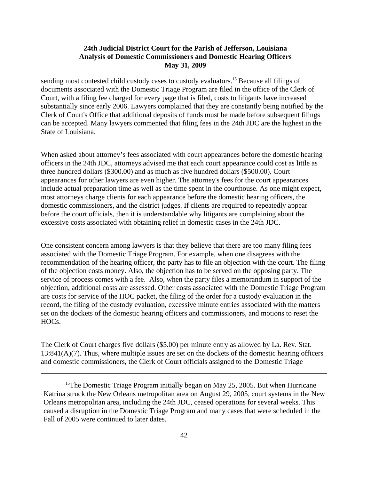sending most contested child custody cases to custody evaluators.<sup>15</sup> Because all filings of documents associated with the Domestic Triage Program are filed in the office of the Clerk of Court, with a filing fee charged for every page that is filed, costs to litigants have increased substantially since early 2006. Lawyers complained that they are constantly being notified by the Clerk of Court's Office that additional deposits of funds must be made before subsequent filings can be accepted. Many lawyers commented that filing fees in the 24th JDC are the highest in the State of Louisiana.

When asked about attorney's fees associated with court appearances before the domestic hearing officers in the 24th JDC, attorneys advised me that each court appearance could cost as little as three hundred dollars (\$300.00) and as much as five hundred dollars (\$500.00). Court appearances for other lawyers are even higher. The attorney's fees for the court appearances include actual preparation time as well as the time spent in the courthouse. As one might expect, most attorneys charge clients for each appearance before the domestic hearing officers, the domestic commissioners, and the district judges. If clients are required to repeatedly appear before the court officials, then it is understandable why litigants are complaining about the excessive costs associated with obtaining relief in domestic cases in the 24th JDC.

One consistent concern among lawyers is that they believe that there are too many filing fees associated with the Domestic Triage Program. For example, when one disagrees with the recommendation of the hearing officer, the party has to file an objection with the court. The filing of the objection costs money. Also, the objection has to be served on the opposing party. The service of process comes with a fee. Also, when the party files a memorandum in support of the objection, additional costs are assessed. Other costs associated with the Domestic Triage Program are costs for service of the HOC packet, the filing of the order for a custody evaluation in the record, the filing of the custody evaluation, excessive minute entries associated with the matters set on the dockets of the domestic hearing officers and commissioners, and motions to reset the HOCs.

The Clerk of Court charges five dollars (\$5.00) per minute entry as allowed by La. Rev. Stat.  $13:841(A)(7)$ . Thus, where multiple issues are set on the dockets of the domestic hearing officers and domestic commissioners, the Clerk of Court officials assigned to the Domestic Triage

<sup>&</sup>lt;sup>15</sup>The Domestic Triage Program initially began on May 25, 2005. But when Hurricane Katrina struck the New Orleans metropolitan area on August 29, 2005, court systems in the New Orleans metropolitan area, including the 24th JDC, ceased operations for several weeks. This caused a disruption in the Domestic Triage Program and many cases that were scheduled in the Fall of 2005 were continued to later dates.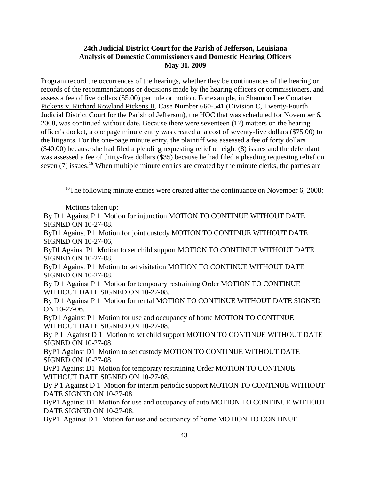Program record the occurrences of the hearings, whether they be continuances of the hearing or records of the recommendations or decisions made by the hearing officers or commissioners, and assess a fee of five dollars (\$5.00) per rule or motion. For example, in Shannon Lee Conatser Pickens v. Richard Rowland Pickens II, Case Number 660-541 (Division C, Twenty-Fourth Judicial District Court for the Parish of Jefferson), the HOC that was scheduled for November 6, 2008, was continued without date. Because there were seventeen (17) matters on the hearing officer's docket, a one page minute entry was created at a cost of seventy-five dollars (\$75.00) to the litigants. For the one-page minute entry, the plaintiff was assessed a fee of forty dollars (\$40.00) because she had filed a pleading requesting relief on eight (8) issues and the defendant was assessed a fee of thirty-five dollars (\$35) because he had filed a pleading requesting relief on seven (7) issues.<sup>16</sup> When multiple minute entries are created by the minute clerks, the parties are

<sup>16</sup>The following minute entries were created after the continuance on November 6, 2008:

Motions taken up:

By D 1 Against P 1 Motion for injunction MOTION TO CONTINUE WITHOUT DATE SIGNED ON 10-27-08.

ByD1 Against P1 Motion for joint custody MOTION TO CONTINUE WITHOUT DATE SIGNED ON 10-27-06,

ByDI Against P1 Motion to set child support MOTION TO CONTINUE WITHOUT DATE SIGNED ON 10-27-08,

ByD1 Against P1 Motion to set visitation MOTION TO CONTINUE WITHOUT DATE SIGNED ON 10-27-08.

By D 1 Against P 1 Motion for temporary restraining Order MOTION TO CONTINUE WITHOUT DATE SIGNED ON 10-27-08.

By D 1 Against P 1 Motion for rental MOTION TO CONTINUE WITHOUT DATE SIGNED ON 10-27-06.

ByD1 Against P1 Motion for use and occupancy of home MOTION TO CONTINUE WITHOUT DATE SIGNED ON 10-27-08.

By P 1 Against D 1 Motion to set child support MOTION TO CONTINUE WITHOUT DATE SIGNED ON 10-27-08.

ByP1 Against D1 Motion to set custody MOTION TO CONTINUE WITHOUT DATE SIGNED ON 10-27-08.

ByP1 Against D1 Motion for temporary restraining Order MOTION TO CONTINUE WITHOUT DATE SIGNED ON 10-27-08.

By P 1 Against D 1 Motion for interim periodic support MOTION TO CONTINUE WITHOUT DATE SIGNED ON 10-27-08.

ByP1 Against D1 Motion for use and occupancy of auto MOTION TO CONTINUE WITHOUT DATE SIGNED ON 10-27-08.

ByP1 Against D 1 Motion for use and occupancy of home MOTION TO CONTINUE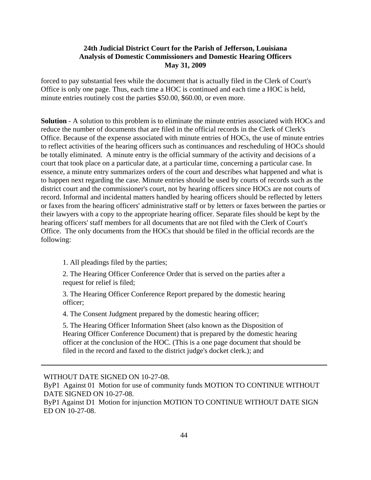forced to pay substantial fees while the document that is actually filed in the Clerk of Court's Office is only one page. Thus, each time a HOC is continued and each time a HOC is held, minute entries routinely cost the parties \$50.00, \$60.00, or even more.

**Solution** - A solution to this problem is to eliminate the minute entries associated with HOCs and reduce the number of documents that are filed in the official records in the Clerk of Clerk's Office. Because of the expense associated with minute entries of HOCs, the use of minute entries to reflect activities of the hearing officers such as continuances and rescheduling of HOCs should be totally eliminated. A minute entry is the official summary of the activity and decisions of a court that took place on a particular date, at a particular time, concerning a particular case. In essence, a minute entry summarizes orders of the court and describes what happened and what is to happen next regarding the case. Minute entries should be used by courts of records such as the district court and the commissioner's court, not by hearing officers since HOCs are not courts of record. Informal and incidental matters handled by hearing officers should be reflected by letters or faxes from the hearing officers' administrative staff or by letters or faxes between the parties or their lawyers with a copy to the appropriate hearing officer. Separate files should be kept by the hearing officers' staff members for all documents that are not filed with the Clerk of Court's Office. The only documents from the HOCs that should be filed in the official records are the following:

1. All pleadings filed by the parties;

2. The Hearing Officer Conference Order that is served on the parties after a request for relief is filed;

3. The Hearing Officer Conference Report prepared by the domestic hearing officer;

4. The Consent Judgment prepared by the domestic hearing officer;

5. The Hearing Officer Information Sheet (also known as the Disposition of Hearing Officer Conference Document) that is prepared by the domestic hearing officer at the conclusion of the HOC. (This is a one page document that should be filed in the record and faxed to the district judge's docket clerk.); and

WITHOUT DATE SIGNED ON 10-27-08.

ByP1 Against 01 Motion for use of community funds MOTION TO CONTINUE WITHOUT DATE SIGNED ON 10-27-08.

ByP1 Against D1 Motion for injunction MOTION TO CONTINUE WITHOUT DATE SIGN ED ON 10-27-08.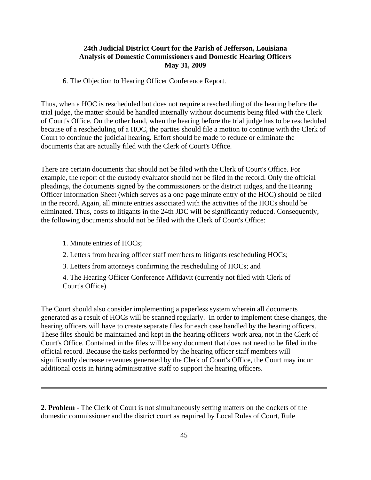6. The Objection to Hearing Officer Conference Report.

Thus, when a HOC is rescheduled but does not require a rescheduling of the hearing before the trial judge, the matter should be handled internally without documents being filed with the Clerk of Court's Office. On the other hand, when the hearing before the trial judge has to be rescheduled because of a rescheduling of a HOC, the parties should file a motion to continue with the Clerk of Court to continue the judicial hearing. Effort should be made to reduce or eliminate the documents that are actually filed with the Clerk of Court's Office.

There are certain documents that should not be filed with the Clerk of Court's Office. For example, the report of the custody evaluator should not be filed in the record. Only the official pleadings, the documents signed by the commissioners or the district judges, and the Hearing Officer Information Sheet (which serves as a one page minute entry of the HOC) should be filed in the record. Again, all minute entries associated with the activities of the HOCs should be eliminated. Thus, costs to litigants in the 24th JDC will be significantly reduced. Consequently, the following documents should not be filed with the Clerk of Court's Office:

1. Minute entries of HOCs;

2. Letters from hearing officer staff members to litigants rescheduling HOCs;

3. Letters from attorneys confirming the rescheduling of HOCs; and

4. The Hearing Officer Conference Affidavit (currently not filed with Clerk of Court's Office).

The Court should also consider implementing a paperless system wherein all documents generated as a result of HOCs will be scanned regularly. In order to implement these changes, the hearing officers will have to create separate files for each case handled by the hearing officers. These files should be maintained and kept in the hearing officers' work area, not in the Clerk of Court's Office. Contained in the files will be any document that does not need to be filed in the official record. Because the tasks performed by the hearing officer staff members will significantly decrease revenues generated by the Clerk of Court's Office, the Court may incur additional costs in hiring administrative staff to support the hearing officers.

**2. Problem** - The Clerk of Court is not simultaneously setting matters on the dockets of the domestic commissioner and the district court as required by Local Rules of Court, Rule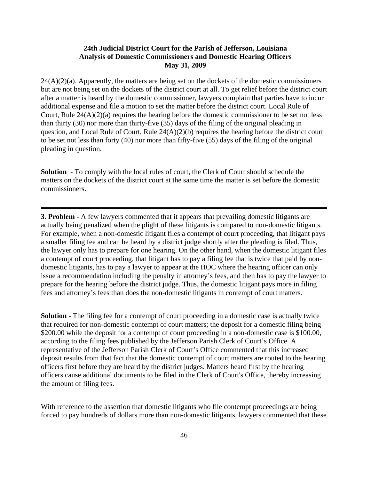$24(A)(2)(a)$ . Apparently, the matters are being set on the dockets of the domestic commissioners but are not being set on the dockets of the district court at all. To get relief before the district court after a matter is heard by the domestic commissioner, lawyers complain that parties have to incur additional expense and file a motion to set the matter before the district court. Local Rule of Court, Rule 24(A)(2)(a) requires the hearing before the domestic commissioner to be set not less than thirty (30) nor more than thirty-five (35) days of the filing of the original pleading in question, and Local Rule of Court, Rule 24(A)(2)(b) requires the hearing before the district court to be set not less than forty (40) nor more than fifty-five (55) days of the filing of the original pleading in question.

**Solution** - To comply with the local rules of court, the Clerk of Court should schedule the matters on the dockets of the district court at the same time the matter is set before the domestic commissioners.

**3. Problem -** A few lawyers commented that it appears that prevailing domestic litigants are actually being penalized when the plight of these litigants is compared to non-domestic litigants. For example, when a non-domestic litigant files a contempt of court proceeding, that litigant pays a smaller filing fee and can be heard by a district judge shortly after the pleading is filed. Thus, the lawyer only has to prepare for one hearing. On the other hand, when the domestic litigant files a contempt of court proceeding, that litigant has to pay a filing fee that is twice that paid by nondomestic litigants, has to pay a lawyer to appear at the HOC where the hearing officer can only issue a recommendation including the penalty in attorney's fees, and then has to pay the lawyer to prepare for the hearing before the district judge. Thus, the domestic litigant pays more in filing fees and attorney's fees than does the non-domestic litigants in contempt of court matters.

**Solution** - The filing fee for a contempt of court proceeding in a domestic case is actually twice that required for non-domestic contempt of court matters; the deposit for a domestic filing being \$200.00 while the deposit for a contempt of court proceeding in a non-domestic case is \$100.00, according to the filing fees published by the Jefferson Parish Clerk of Court's Office. A representative of the Jefferson Parish Clerk of Court's Office commented that this increased deposit results from that fact that the domestic contempt of court matters are routed to the hearing officers first before they are heard by the district judges. Matters heard first by the hearing officers cause additional documents to be filed in the Clerk of Court's Office, thereby increasing the amount of filing fees.

With reference to the assertion that domestic litigants who file contempt proceedings are being forced to pay hundreds of dollars more than non-domestic litigants, lawyers commented that these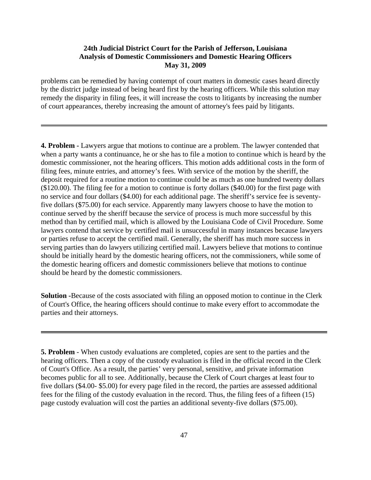problems can be remedied by having contempt of court matters in domestic cases heard directly by the district judge instead of being heard first by the hearing officers. While this solution may remedy the disparity in filing fees, it will increase the costs to litigants by increasing the number of court appearances, thereby increasing the amount of attorney's fees paid by litigants.

**4. Problem -** Lawyers argue that motions to continue are a problem. The lawyer contended that when a party wants a continuance, he or she has to file a motion to continue which is heard by the domestic commissioner, not the hearing officers. This motion adds additional costs in the form of filing fees, minute entries, and attorney's fees. With service of the motion by the sheriff, the deposit required for a routine motion to continue could be as much as one hundred twenty dollars (\$120.00). The filing fee for a motion to continue is forty dollars (\$40.00) for the first page with no service and four dollars (\$4.00) for each additional page. The sheriff's service fee is seventyfive dollars (\$75.00) for each service. Apparently many lawyers choose to have the motion to continue served by the sheriff because the service of process is much more successful by this method than by certified mail, which is allowed by the Louisiana Code of Civil Procedure. Some lawyers contend that service by certified mail is unsuccessful in many instances because lawyers or parties refuse to accept the certified mail. Generally, the sheriff has much more success in serving parties than do lawyers utilizing certified mail. Lawyers believe that motions to continue should be initially heard by the domestic hearing officers, not the commissioners, while some of the domestic hearing officers and domestic commissioners believe that motions to continue should be heard by the domestic commissioners.

**Solution -**Because of the costs associated with filing an opposed motion to continue in the Clerk of Court's Office, the hearing officers should continue to make every effort to accommodate the parties and their attorneys.

**5. Problem** - When custody evaluations are completed, copies are sent to the parties and the hearing officers. Then a copy of the custody evaluation is filed in the official record in the Clerk of Court's Office. As a result, the parties' very personal, sensitive, and private information becomes public for all to see. Additionally, because the Clerk of Court charges at least four to five dollars (\$4.00- \$5.00) for every page filed in the record, the parties are assessed additional fees for the filing of the custody evaluation in the record. Thus, the filing fees of a fifteen (15) page custody evaluation will cost the parties an additional seventy-five dollars (\$75.00).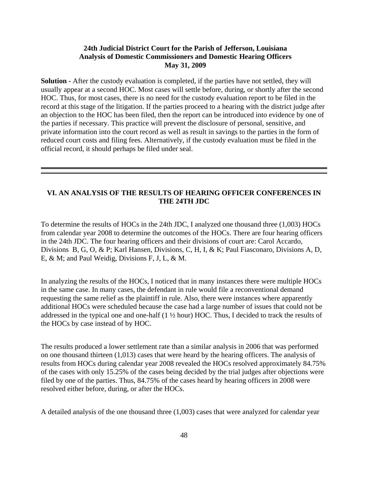**Solution -** After the custody evaluation is completed, if the parties have not settled, they will usually appear at a second HOC. Most cases will settle before, during, or shortly after the second HOC. Thus, for most cases, there is no need for the custody evaluation report to be filed in the record at this stage of the litigation. If the parties proceed to a hearing with the district judge after an objection to the HOC has been filed, then the report can be introduced into evidence by one of the parties if necessary. This practice will prevent the disclosure of personal, sensitive, and private information into the court record as well as result in savings to the parties in the form of reduced court costs and filing fees. Alternatively, if the custody evaluation must be filed in the official record, it should perhaps be filed under seal.

#### **VI. AN ANALYSIS OF THE RESULTS OF HEARING OFFICER CONFERENCES IN THE 24TH JDC**

To determine the results of HOCs in the 24th JDC, I analyzed one thousand three (1,003) HOCs from calendar year 2008 to determine the outcomes of the HOCs. There are four hearing officers in the 24th JDC. The four hearing officers and their divisions of court are: Carol Accardo, Divisions B, G, O, & P; Karl Hansen, Divisions, C, H, I, & K; Paul Fiasconaro, Divisions A, D, E, & M; and Paul Weidig, Divisions F, J, L, & M.

In analyzing the results of the HOCs, I noticed that in many instances there were multiple HOCs in the same case. In many cases, the defendant in rule would file a reconventional demand requesting the same relief as the plaintiff in rule. Also, there were instances where apparently additional HOCs were scheduled because the case had a large number of issues that could not be addressed in the typical one and one-half (1 ½ hour) HOC. Thus, I decided to track the results of the HOCs by case instead of by HOC.

The results produced a lower settlement rate than a similar analysis in 2006 that was performed on one thousand thirteen (1,013) cases that were heard by the hearing officers. The analysis of results from HOCs during calendar year 2008 revealed the HOCs resolved approximately 84.75% of the cases with only 15.25% of the cases being decided by the trial judges after objections were filed by one of the parties. Thus, 84.75% of the cases heard by hearing officers in 2008 were resolved either before, during, or after the HOCs.

A detailed analysis of the one thousand three (1,003) cases that were analyzed for calendar year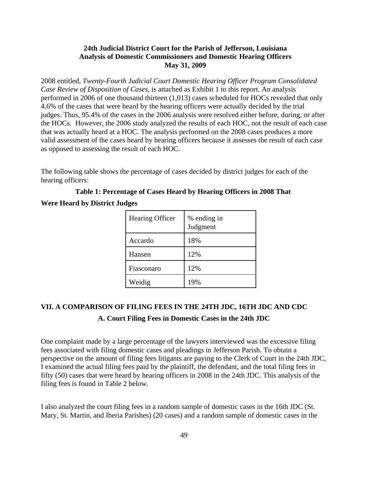2008 entitled, *Twenty-Fourth Judicial Court Domestic Hearing Officer Program Consolidated Case Review of Disposition of Cases,* is attached as Exhibit 1 to this report. An analysis performed in 2006 of one thousand thirteen (1,013) cases scheduled for HOCs revealed that only 4.6% of the cases that were heard by the hearing officers were actually decided by the trial judges. Thus, 95.4% of the cases in the 2006 analysis were resolved either before, during, or after the HOCs. However, the 2006 study analyzed the results of each HOC, not the result of each case that was actually heard at a HOC. The analysis performed on the 2008 cases produces a more valid assessment of the cases heard by hearing officers because it assesses the result of each case as opposed to assessing the result of each HOC.

The following table shows the percentage of cases decided by district judges for each of the hearing officers:

**Table 1: Percentage of Cases Heard by Hearing Officers in 2008 That Were Heard by District Judges**

| Hearing Officer | % ending in<br>Judgment |
|-----------------|-------------------------|
| Accardo         | 18%                     |
| Hansen          | 12%                     |
| Fiasconaro      | 12%                     |
| Weidig          | 19%                     |

# **VII. A COMPARISON OF FILING FEES IN THE 24TH JDC, 16TH JDC AND CDC A. Court Filing Fees in Domestic Cases in the 24th JDC**

One complaint made by a large percentage of the lawyers interviewed was the excessive filing fees associated with filing domestic cases and pleadings in Jefferson Parish. To obtain a perspective on the amount of filing fees litigants are paying to the Clerk of Court in the 24th JDC, I examined the actual filing fees paid by the plaintiff, the defendant, and the total filing fees in fifty (50) cases that were heard by hearing officers in 2008 in the 24th JDC. This analysis of the filing fees is found in Table 2 below.

I also analyzed the court filing fees in a random sample of domestic cases in the 16th JDC (St. Mary, St. Martin, and Iberia Parishes) (20 cases) and a random sample of domestic cases in the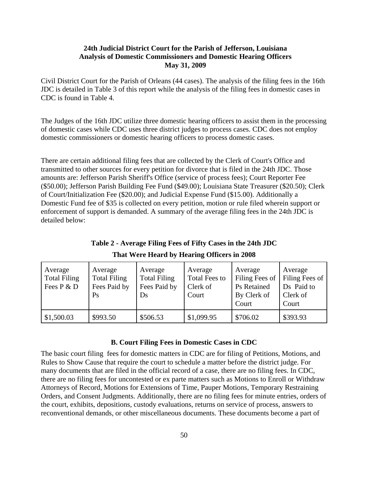Civil District Court for the Parish of Orleans (44 cases). The analysis of the filing fees in the 16th JDC is detailed in Table 3 of this report while the analysis of the filing fees in domestic cases in CDC is found in Table 4.

The Judges of the 16th JDC utilize three domestic hearing officers to assist them in the processing of domestic cases while CDC uses three district judges to process cases. CDC does not employ domestic commissioners or domestic hearing officers to process domestic cases.

There are certain additional filing fees that are collected by the Clerk of Court's Office and transmitted to other sources for every petition for divorce that is filed in the 24th JDC. Those amounts are: Jefferson Parish Sheriff's Office (service of process fees); Court Reporter Fee (\$50.00); Jefferson Parish Building Fee Fund (\$49.00); Louisiana State Treasurer (\$20.50); Clerk of Court/Initialization Fee (\$20.00); and Judicial Expense Fund (\$15.00). Additionally a Domestic Fund fee of \$35 is collected on every petition, motion or rule filed wherein support or enforcement of support is demanded. A summary of the average filing fees in the 24th JDC is detailed below:

| Average<br><b>Total Filing</b><br>Fees P & D | Average<br><b>Total Filing</b><br>Fees Paid by<br>Ps | Average<br><b>Total Filing</b><br>Fees Paid by<br>Ds | Average<br><b>Total Fees to</b><br>Clerk of<br>Court | Average<br>Filing Fees of<br><b>Ps</b> Retained<br>By Clerk of<br>Court | Average<br>Filing Fees of<br>Ds Paid to<br>Clerk of<br>Court |
|----------------------------------------------|------------------------------------------------------|------------------------------------------------------|------------------------------------------------------|-------------------------------------------------------------------------|--------------------------------------------------------------|
| \$1,500.03                                   | \$993.50                                             | \$506.53                                             | \$1,099.95                                           | \$706.02                                                                | \$393.93                                                     |

**Table 2 - Average Filing Fees of Fifty Cases in the 24th JDC That Were Heard by Hearing Officers in 2008**

#### **B. Court Filing Fees in Domestic Cases in CDC**

The basic court filing fees for domestic matters in CDC are for filing of Petitions, Motions, and Rules to Show Cause that require the court to schedule a matter before the district judge. For many documents that are filed in the official record of a case, there are no filing fees. In CDC, there are no filing fees for uncontested or ex parte matters such as Motions to Enroll or Withdraw Attorneys of Record, Motions for Extensions of Time, Pauper Motions, Temporary Restraining Orders, and Consent Judgments. Additionally, there are no filing fees for minute entries, orders of the court, exhibits, depositions, custody evaluations, returns on service of process, answers to reconventional demands, or other miscellaneous documents. These documents become a part of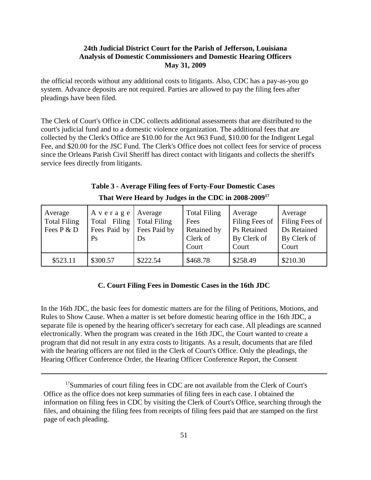the official records without any additional costs to litigants. Also, CDC has a pay-as-you go system. Advance deposits are not required. Parties are allowed to pay the filing fees after pleadings have been filed.

The Clerk of Court's Office in CDC collects additional assessments that are distributed to the court's judicial fund and to a domestic violence organization. The additional fees that are collected by the Clerk's Office are \$10.00 for the Act 963 Fund, \$10.00 for the Indigent Legal Fee, and \$20.00 for the JSC Fund. The Clerk's Office does not collect fees for service of process since the Orleans Parish Civil Sheriff has direct contact with litigants and collects the sheriff's service fees directly from litigants.

| Table 3 - Average Filing fees of Forty-Four Domestic Cases      |
|-----------------------------------------------------------------|
| That Were Heard by Judges in the CDC in 2008-2009 <sup>17</sup> |

| Average<br><b>Total Filing</b><br>Fees P & D | Average<br>Total Filing<br>Fees Paid by<br>Ps | Average<br><b>Total Filing</b><br>Fees Paid by<br>Ds | <b>Total Filing</b><br>Fees<br>Retained by<br>Clerk of<br>Court | Average<br>Filing Fees of<br><b>Ps</b> Retained<br>By Clerk of<br>Court | Average<br>Filing Fees of<br>Ds Retained<br>By Clerk of<br>Court |
|----------------------------------------------|-----------------------------------------------|------------------------------------------------------|-----------------------------------------------------------------|-------------------------------------------------------------------------|------------------------------------------------------------------|
| \$523.11                                     | \$300.57                                      | \$222.54                                             | \$468.78                                                        | \$258.49                                                                | \$210.30                                                         |

#### **C. Court Filing Fees in Domestic Cases in the 16th JDC**

In the 16th JDC, the basic fees for domestic matters are for the filing of Petitions, Motions, and Rules to Show Cause. When a matter is set before domestic hearing office in the 16th JDC, a separate file is opened by the hearing officer's secretary for each case. All pleadings are scanned electronically. When the program was created in the 16th JDC, the Court wanted to create a program that did not result in any extra costs to litigants. As a result, documents that are filed with the hearing officers are not filed in the Clerk of Court's Office. Only the pleadings, the Hearing Officer Conference Order, the Hearing Officer Conference Report, the Consent

<sup>&</sup>lt;sup>17</sup>Summaries of court filing fees in CDC are not available from the Clerk of Court's Office as the office does not keep summaries of filing fees in each case. I obtained the information on filing fees in CDC by visiting the Clerk of Court's Office, searching through the files, and obtaining the filing fees from receipts of filing fees paid that are stamped on the first page of each pleading.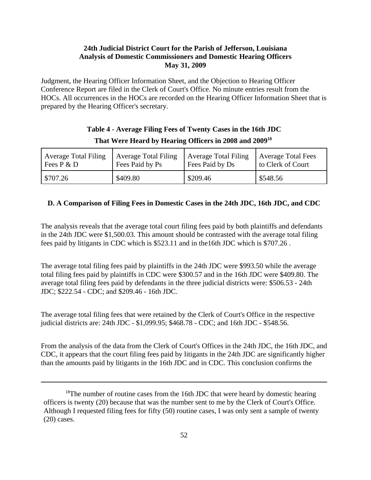Judgment, the Hearing Officer Information Sheet, and the Objection to Hearing Officer Conference Report are filed in the Clerk of Court's Office. No minute entries result from the HOCs. All occurrences in the HOCs are recorded on the Hearing Officer Information Sheet that is prepared by the Hearing Officer's secretary.

# **Table 4 - Average Filing Fees of Twenty Cases in the 16th JDC That Were Heard by Hearing Officers in 2008 and 200918**

| <b>Average Total Filing</b> | <b>Average Total Filing</b> | <b>Average Total Filing</b> | <b>Average Total Fees</b> |
|-----------------------------|-----------------------------|-----------------------------|---------------------------|
| Fees $P \& D$               | Fees Paid by Ps             | Fees Paid by Ds             | to Clerk of Court         |
| \$707.26                    | \$409.80                    | \$209.46                    | \$548.56                  |

# **D. A Comparison of Filing Fees in Domestic Cases in the 24th JDC, 16th JDC, and CDC**

The analysis reveals that the average total court filing fees paid by both plaintiffs and defendants in the 24th JDC were \$1,500.03. This amount should be contrasted with the average total filing fees paid by litigants in CDC which is \$523.11 and in the16th JDC which is \$707.26 .

The average total filing fees paid by plaintiffs in the 24th JDC were \$993.50 while the average total filing fees paid by plaintiffs in CDC were \$300.57 and in the 16th JDC were \$409.80. The average total filing fees paid by defendants in the three judicial districts were: \$506.53 - 24th JDC; \$222.54 - CDC; and \$209.46 - 16th JDC.

The average total filing fees that were retained by the Clerk of Court's Office in the respective judicial districts are: 24th JDC - \$1,099.95; \$468.78 - CDC; and 16th JDC - \$548.56.

From the analysis of the data from the Clerk of Court's Offices in the 24th JDC, the 16th JDC, and CDC, it appears that the court filing fees paid by litigants in the 24th JDC are significantly higher than the amounts paid by litigants in the 16th JDC and in CDC. This conclusion confirms the

 $18$ The number of routine cases from the 16th JDC that were heard by domestic hearing officers is twenty (20) because that was the number sent to me by the Clerk of Court's Office. Although I requested filing fees for fifty (50) routine cases, I was only sent a sample of twenty (20) cases.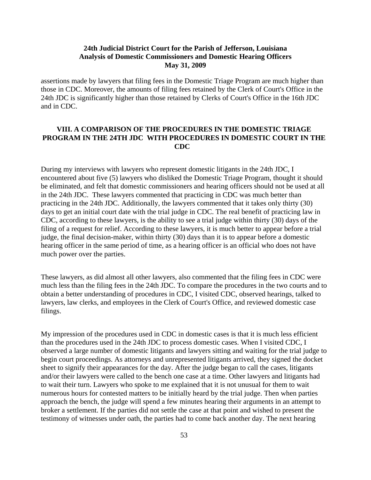assertions made by lawyers that filing fees in the Domestic Triage Program are much higher than those in CDC. Moreover, the amounts of filing fees retained by the Clerk of Court's Office in the 24th JDC is significantly higher than those retained by Clerks of Court's Office in the 16th JDC and in CDC.

#### **VIII. A COMPARISON OF THE PROCEDURES IN THE DOMESTIC TRIAGE PROGRAM IN THE 24TH JDC WITH PROCEDURES IN DOMESTIC COURT IN THE CDC**

During my interviews with lawyers who represent domestic litigants in the 24th JDC, I encountered about five (5) lawyers who disliked the Domestic Triage Program, thought it should be eliminated, and felt that domestic commissioners and hearing officers should not be used at all in the 24th JDC. These lawyers commented that practicing in CDC was much better than practicing in the 24th JDC. Additionally, the lawyers commented that it takes only thirty (30) days to get an initial court date with the trial judge in CDC. The real benefit of practicing law in CDC, according to these lawyers, is the ability to see a trial judge within thirty (30) days of the filing of a request for relief. According to these lawyers, it is much better to appear before a trial judge, the final decision-maker, within thirty (30) days than it is to appear before a domestic hearing officer in the same period of time, as a hearing officer is an official who does not have much power over the parties.

These lawyers, as did almost all other lawyers, also commented that the filing fees in CDC were much less than the filing fees in the 24th JDC. To compare the procedures in the two courts and to obtain a better understanding of procedures in CDC, I visited CDC, observed hearings, talked to lawyers, law clerks, and employees in the Clerk of Court's Office, and reviewed domestic case filings.

My impression of the procedures used in CDC in domestic cases is that it is much less efficient than the procedures used in the 24th JDC to process domestic cases. When I visited CDC, I observed a large number of domestic litigants and lawyers sitting and waiting for the trial judge to begin court proceedings. As attorneys and unrepresented litigants arrived, they signed the docket sheet to signify their appearances for the day. After the judge began to call the cases, litigants and/or their lawyers were called to the bench one case at a time. Other lawyers and litigants had to wait their turn. Lawyers who spoke to me explained that it is not unusual for them to wait numerous hours for contested matters to be initially heard by the trial judge. Then when parties approach the bench, the judge will spend a few minutes hearing their arguments in an attempt to broker a settlement. If the parties did not settle the case at that point and wished to present the testimony of witnesses under oath, the parties had to come back another day. The next hearing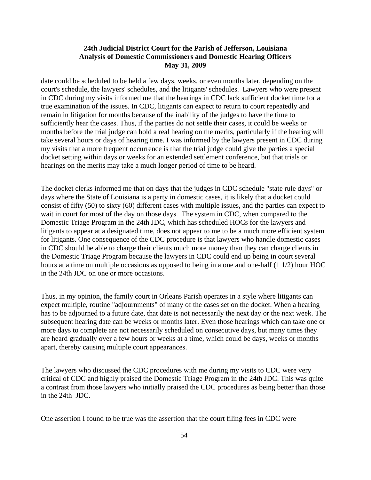date could be scheduled to be held a few days, weeks, or even months later, depending on the court's schedule, the lawyers' schedules, and the litigants' schedules. Lawyers who were present in CDC during my visits informed me that the hearings in CDC lack sufficient docket time for a true examination of the issues. In CDC, litigants can expect to return to court repeatedly and remain in litigation for months because of the inability of the judges to have the time to sufficiently hear the cases. Thus, if the parties do not settle their cases, it could be weeks or months before the trial judge can hold a real hearing on the merits, particularly if the hearing will take several hours or days of hearing time. I was informed by the lawyers present in CDC during my visits that a more frequent occurrence is that the trial judge could give the parties a special docket setting within days or weeks for an extended settlement conference, but that trials or hearings on the merits may take a much longer period of time to be heard.

The docket clerks informed me that on days that the judges in CDC schedule "state rule days" or days where the State of Louisiana is a party in domestic cases, it is likely that a docket could consist of fifty (50) to sixty (60) different cases with multiple issues, and the parties can expect to wait in court for most of the day on those days. The system in CDC, when compared to the Domestic Triage Program in the 24th JDC, which has scheduled HOCs for the lawyers and litigants to appear at a designated time, does not appear to me to be a much more efficient system for litigants. One consequence of the CDC procedure is that lawyers who handle domestic cases in CDC should be able to charge their clients much more money than they can charge clients in the Domestic Triage Program because the lawyers in CDC could end up being in court several hours at a time on multiple occasions as opposed to being in a one and one-half (1 1/2) hour HOC in the 24th JDC on one or more occasions.

Thus, in my opinion, the family court in Orleans Parish operates in a style where litigants can expect multiple, routine "adjournments" of many of the cases set on the docket. When a hearing has to be adjourned to a future date, that date is not necessarily the next day or the next week. The subsequent hearing date can be weeks or months later. Even those hearings which can take one or more days to complete are not necessarily scheduled on consecutive days, but many times they are heard gradually over a few hours or weeks at a time, which could be days, weeks or months apart, thereby causing multiple court appearances.

The lawyers who discussed the CDC procedures with me during my visits to CDC were very critical of CDC and highly praised the Domestic Triage Program in the 24th JDC. This was quite a contrast from those lawyers who initially praised the CDC procedures as being better than those in the 24th JDC.

One assertion I found to be true was the assertion that the court filing fees in CDC were